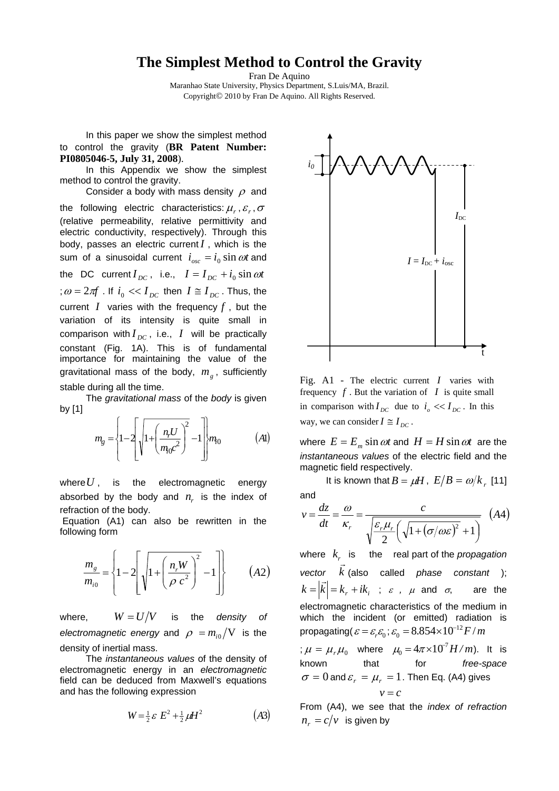## **The Simplest Method to Control the Gravity**

Fran De Aquino Maranhao State University, Physics Department, S.Luis/MA, Brazil. Copyright© 2010 by Fran De Aquino. All Rights Reserved.

 In this paper we show the simplest method to control the gravity (**BR Patent Number: PI0805046-5, July 31, 2008**).

 In this Appendix we show the simplest method to control the gravity.

Consider a body with mass density  $\rho$  and

the following electric characteristics:  $\mu_r$ ,  $\varepsilon_r$ ,  $\sigma$ (relative permeability, relative permittivity and electric conductivity, respectively). Through this body, passes an electric current *I* , which is the sum of a sinusoidal current  $i_{osc} = i_0 \sin \omega t$  and the DC current  $I_{DC}$ , i.e.,  $I = I_{DC} + i_0 \sin \omega t$ ;  $\omega = 2\pi f$  . If  $i_0 \ll I_{DC}$  then  $I \cong I_{DC}$  . Thus, the current  $I$  varies with the frequency  $f$ , but the variation of its intensity is quite small in comparison with  $I_{DC}$ , i.e.,  $I$  will be practically constant (Fig. 1A). This is of fundamental importance for maintaining the value of the gravitational mass of the body,  $m_g$ , sufficiently stable during all the time.

 The *gravitational mass* of the *body* is given by [1]

$$
m_{g} = \left\{1 - 2\left[\sqrt{1 + \left(\frac{n_{r}U}{m_{0}c^{2}}\right)^{2}} - 1\right]m_{0}\right\}
$$
 (Al)

where  $U$ , is the electromagnetic energy absorbed by the body and  $n_r$  is the index of refraction of the body.

 Equation (A1) can also be rewritten in the following form

$$
\frac{m_s}{m_{i0}} = \left\{ 1 - 2 \left[ \sqrt{1 + \left( \frac{n_r W}{\rho c^2} \right)^2} - 1 \right] \right\}
$$
 (A2)

where,  $W = U/V$  is the *density* of *electromagnetic energy* and  $\rho = m_{i0} / V$  is the density of inertial mass.

 The *instantaneous values* of the density of electromagnetic energy in an *electromagnetic* field can be deduced from Maxwell's equations and has the following expression

$$
W = \frac{1}{2} \varepsilon E^2 + \frac{1}{2} \mu H^2 \tag{A3}
$$



Fig. A1 - The electric current *I* varies with frequency  $f$ . But the variation of  $I$  is quite small in comparison with  $I_{DC}$  due to  $i_{o} \ll I_{DC}$ . In this way, we can consider  $I \cong I_{DC}$ .

where  $E = E_m \sin \omega t$  and  $H = H \sin \omega t$  are the *instantaneous values* of the electric field and the magnetic field respectively.

It is known that  $B = \mu H$ ,  $E/B = \omega / k$  [11] and

$$
v = \frac{dz}{dt} = \frac{\omega}{\kappa_r} = \frac{c}{\sqrt{\frac{\varepsilon_r \mu_r}{2} \left( \sqrt{1 + (\sigma/\omega \varepsilon)^2} + 1 \right)}} \quad (A4)
$$

where  $k<sub>r</sub>$  is the real part of the *propagation vector k*  $\vec{r}$ (also called *phase constant* );  $k = |\vec{k}| = k_r + ik_i$ ;  $\varepsilon$ ,  $\mu$  and  $\sigma$ , are the electromagnetic characteristics of the medium in which the incident (or emitted) radiation is propagating( $\varepsilon = \varepsilon_r \varepsilon_0$ ;  $\varepsilon_0 = 8.854 \times 10^{-12} F/m$ ;  $\mu = \mu_r \mu_0$  where  $\mu_0 = 4\pi \times 10^{-7} H/m$ ). It is

known that for *free-space*  $\sigma = 0$  and  $\varepsilon_r = \mu_r = 1$ . Then Eq. (A4) gives  $v = c$ 

From (A4), we see that the *index of refraction*  $n_r = c/v$  is given by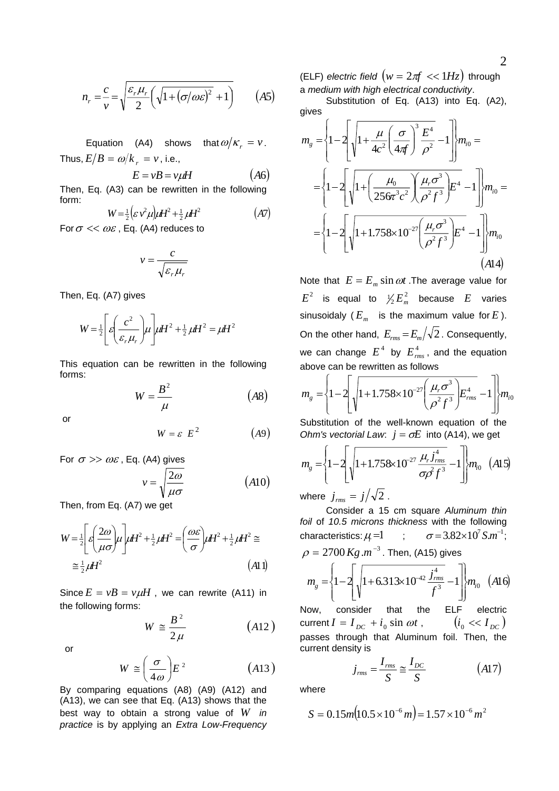$$
n_r = \frac{c}{v} = \sqrt{\frac{\varepsilon_r \mu_r}{2} \left( \sqrt{1 + (\sigma/\omega \varepsilon)^2} + 1 \right)} \qquad (A5)
$$

Equation (A4) shows that  $\omega/\kappa_r = v$ . Thus,  $E/B = \omega/k_{r} = v$ , i.e.,

$$
E = vB = v\mu H \qquad (A6)
$$

Then, Eq. (A3) can be rewritten in the following form:

$$
W = \frac{1}{2} \left( \varepsilon \, v^2 \mu \right) \mu H^2 + \frac{1}{2} \, \mu H^2 \tag{A7}
$$
\n
$$
For \, \sigma \ll \, \omega \, \varepsilon \quad \text{Eq. (A4) reduces to}
$$

For  $\sigma \ll \omega \varepsilon$ , Eq. (A4) reduces to

$$
v = \frac{c}{\sqrt{\varepsilon_r \mu_r}}
$$

Then, Eq. (A7) gives

$$
W = \frac{1}{2} \left[ \varepsilon \left( \frac{c^2}{\varepsilon_r \mu_r} \right) \mu \right] \mu H^2 + \frac{1}{2} \mu H^2 = \mu H^2
$$

This equation can be rewritten in the following forms:

$$
W = \frac{B^2}{\mu} \tag{A8}
$$

or

$$
W = \varepsilon E^2 \qquad (A9)
$$

For 
$$
\sigma \gg \omega \varepsilon
$$
, Eq. (A4) gives  

$$
v = \sqrt{\frac{2\omega}{\mu \sigma}}
$$
(A10)

Then, from Eq. (A7) we get

$$
W = \frac{1}{2} \left[ \varepsilon \left( \frac{2\omega}{\mu \sigma} \right) \mu \right] \mu H^2 + \frac{1}{2} \mu H^2 = \left( \frac{\omega \varepsilon}{\sigma} \right) \mu H^2 + \frac{1}{2} \mu H^2 \approx
$$
  
 
$$
\approx \frac{1}{2} \mu H^2 \tag{A11}
$$

Since  $E = vB = v\mu H$ , we can rewrite (A11) in the following forms:

$$
W \cong \frac{B^2}{2\mu} \qquad (A12)
$$

or

$$
W \cong \left(\frac{\sigma}{4\omega}\right) E^2 \tag{A13}
$$

By comparing equations (A8) (A9) (A12) and (A13), we can see that Eq. (A13) shows that the best way to obtain a strong value of *W in practice* is by applying an *Extra Low-Frequency*  (ELF) electric field  $(w = 2\pi f \ll 1 Hz)$  through a *medium with high electrical conductivity*.

 Substitution of Eq. (A13) into Eq. (A2), gives

$$
m_{g} = \left\{ 1 - 2 \left[ \sqrt{1 + \frac{\mu}{4c^{2}} \left( \frac{\sigma}{4\pi f} \right)^{3} \frac{E^{4}}{\rho^{2}} - 1} \right] \right\} m_{i0} =
$$

$$
= \left\{ 1 - 2 \left[ \sqrt{1 + \left( \frac{\mu_{0}}{256\pi^{3}c^{2}} \right) \left( \frac{\mu_{r}\sigma^{3}}{\rho^{2}f^{3}} \right) } E^{4} - 1 \right] \right\} m_{i0} =
$$

$$
= \left\{ 1 - 2 \left[ \sqrt{1 + 1.758 \times 10^{-27} \left( \frac{\mu_{r}\sigma^{3}}{\rho^{2}f^{3}} \right) } E^{4} - 1 \right] \right\} m_{i0}
$$
(A14)

Note that  $E = E_m \sin \omega t$ . The average value for  $E^2$  is equal to  $\frac{1}{2} E_m^2$  because  $E$  varies sinusoidaly  $(E_m$  is the maximum value for *E*). On the other hand,  $E_{rms} = E_m/\sqrt{2}$ . Consequently, we can change  $E^4$  by  $E^4_{rms}$ , and the equation above can be rewritten as follows

$$
m_{g} = \left\{1 - 2\left[\sqrt{1 + 1.758 \times 10^{-27} \left(\frac{\mu_{r} \sigma^{3}}{\rho^{2} f^{3}}\right)} E_{rms}^{4} - 1\right]\right\} m_{i0}
$$

Substitution of the well-known equation of the *Ohm's vectorial Law:*  $j = \sigma E$  into (A14), we get

$$
m_{g} = \left\{1 - 2\left[\sqrt{1 + 1.758 \times 10^{-27} \frac{\mu_{r} j_{rms}^{4}}{\sigma \beta f^{3}} - 1}\right]m_{i0} \quad (A15)
$$

where  $j_{rms} = j/\sqrt{2}$ .

 Consider a 15 cm square *Aluminum thin foil* of *10.5 microns thickness* with the following characteristics:  $\mu =1$ ;  $\rho = 2700 \, Kg \, m^{-3}$  . Then, (A15) gives  $\sigma = 3.82 \times 10^7$  S.m<sup>-1</sup>:  $\left| \frac{1-2}{1}\right| \left| 1+6.313\times10^{-42} \frac{J\text{rms}}{f^3}-1 \right| \left| m_{i0} \right| \left( A16 \right)$ 4  $\frac{42 \text{ J}_{rms}}{a^2} - 1 \left| \frac{m_0}{m_0} \right|$  (A *f j*  $m_{g} = \left\{1-2\right\} \sqrt{1+6.313\times10^{-42} \frac{J_{rms}}{c_{3}^{3}}-1}$ ⎪ ⎬ ⎫  $\frac{1}{2}$ ⎨  $\sqrt{ }$  $\overline{\phantom{a}}$ ⎤ ⎢  $\mathsf I$  $=\left(1-2\right)$ <sub>1</sub> $\left(1+6.313\times10^{-42}\frac{J_{rms}}{m_{s}^{2}}\right)$ 

 $g = \left[ \int_0^1$   $\left[ \int_0^1$   $\left[ \int_0^1$   $\left[ \int_0^1$   $\left[ \int_0^1$   $\frac{1}{2}$   $\int_0^1$   $\frac{1}{2}$   $\int_0^1$   $\left[ \int_0^1$   $\frac{1}{2}$   $\left[ \int_0^1$   $\frac{1}{2}$   $\left[ \int_0^1$   $\frac{1}{2}$   $\left[ \int_0^1$   $\frac{1}{2}$   $\left[ \int_0^1$   $\frac{1}{2}$   $\left[ \int_0^1$  $\overline{\mathcal{N}}$ ⎥  $\overline{\phantom{a}}$  $\mathsf I$ ⎣ Now, consider that the ELF electric current  $I = I_{DC} + i_0 \sin \omega t$ ,  $(i_0 \ll I_{DC})$ passes through that Aluminum foil. Then, the current density is

$$
j_{rms} = \frac{I_{rms}}{S} \approx \frac{I_{DC}}{S}
$$
 (A17)

where

$$
S = 0.15m(10.5 \times 10^{-6} m) = 1.57 \times 10^{-6} m^2
$$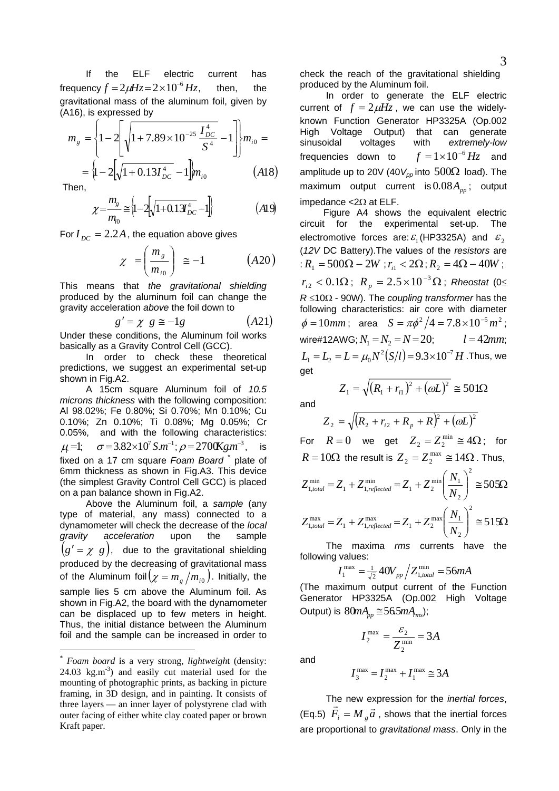3

 If the ELF electric current has frequency  $f = 2\mu Hz = 2 \times 10^{-6} Hz$ , then, the gravitational mass of the aluminum foil, given by (A16), is expressed by

$$
m_{g} = \left\{1 - 2\left[\sqrt{1 + 7.89 \times 10^{-25} \frac{I_{DC}^{4}}{S^{4}}} - 1\right]\right\} m_{i0} = \left\{1 - 2\left[\sqrt{1 + 0.13I_{DC}^{4}} - 1\right]\right\} m_{i0}
$$
\n
$$
(A18)
$$

Then,

$$
\chi = \frac{m_g}{m_{i0}} \approx \left\{ 1 - 2\left[ \sqrt{1 + 0.13 \frac{J^4}{D C}} - 1 \right] \right\} \tag{A19}
$$

For  $I_{DC} = 2.2A$ , the equation above gives

$$
\chi = \left(\frac{m_s}{m_{i0}}\right) \approx -1 \qquad (A20)
$$

This means that *the gravitational shielding* produced by the aluminum foil can change the gravity acceleration *above* the foil down to

$$
g' = \chi \ g \equiv -1g \qquad (A21)
$$

Under these conditions, the Aluminum foil works basically as a Gravity Control Cell (GCC).

 In order to check these theoretical predictions, we suggest an experimental set-up shown in Fig.A2.

 A 15cm square Aluminum foil of *10.5 microns thickness* with the following composition: Al 98.02%; Fe 0.80%; Si 0.70%; Mn 0.10%; Cu 0.10%; Zn 0.10%; Ti 0.08%; Mg 0.05%; Cr 0.05%, and with the following characteristics:  $\mu$ <sup>=1</sup>;  $\sigma$  = 3.82×10<sup>7</sup> S.m<sup>-1</sup>;  $\rho$  = 2700Kg.m<sup>-3</sup>, is fixed on a 17 cm square Foam Board<sup>[\\*](#page-2-0)</sup> plate of 6mm thickness as shown in Fig.A3. This device (the simplest Gravity Control Cell GCC) is placed on a pan balance shown in Fig.A2.

 Above the Aluminum foil, a *sample* (any type of material, any mass) connected to a dynamometer will check the decrease of the *local gravity acceleration* upon the sample  $(g' = \chi g)$ , due to the gravitational shielding produced by the decreasing of gravitational mass of the Aluminum foil $(\chi = m_g/m_{i0})$ . Initially, the sample lies 5 cm above the Aluminum foil. As shown in Fig.A2, the board with the dynamometer can be displaced up to few meters in height. Thus, the initial distance between the Aluminum foil and the sample can be increased in order to -

check the reach of the gravitational shielding produced by the Aluminum foil.

 In order to generate the ELF electric current of  $f = 2\mu Hz$ , we can use the widelyknown Function Generator HP3325A (Op.002 High Voltage Output) that can generate sinusoidal voltages with *extremely-low* frequencies down to amplitude up to 20V (40  $V_{\rho\rho}$  into 500Ω load). The  $f = 1 \times 10^{-6}$  *Hz* and maximum output current is  $0.08A_{pp}$ ; output impedance <2Ω at ELF.

 Figure A4 shows the equivalent electric circuit for the experimental set-up. The electromotive forces are:  $\varepsilon_1$  (HP3325A) and  $\varepsilon_2$ (*12V* DC Battery).The values of the *resistors* are :  $R_1 = 500\Omega - 2W$ ;  $r_{i1} < 2\Omega$ ;  $R_2 = 4\Omega - 40W$ ;  $r_{i2} < 0.1\Omega$ ;  $R_p = 2.5 \times 10^{-3} \Omega$ ; Rheostat (0≤ *R* ≤10Ω - 90W). The *coupling transformer* has the following characteristics: air core with diameter  $\phi = 10$ *mm*; area  $S = \pi \phi^2 / 4 = 7.8 \times 10^{-5}$  *m*<sup>2</sup>; wire#12AWG;  $N_1 = N_2 = N = 20$ ;  $l = 42$ *mm*;  $L_1 = L_2 = L = \mu_0 N^2 (S/l) = 9.3 \times 10^{-7} H$  .Thus, we get

$$
Z_1 = \sqrt{(R_1 + r_{i1})^2 + (\omega L)^2} \approx 501 \Omega
$$

and

$$
Z_2 = \sqrt{(R_2 + r_{i2} + R_p + R)^2 + (\omega L)^2}
$$

For  $R = 0$  we get  $Z_2 = Z_2^{\text{min}} \cong 4\Omega$ ; for  $R = 10\Omega$  the result is  $Z_2 = Z_2^{\text{max}} \approx 14\Omega$ . Thus,

$$
Z_{1, total}^{\min} = Z_1 + Z_{1, reflected}^{\min} = Z_1 + Z_2^{\min} \left( \frac{N_1}{N_2} \right)^2 \approx 505\Omega
$$
  

$$
Z_{1, total}^{\max} = Z_1 + Z_{1, reflected}^{\max} = Z_1 + Z_2^{\max} \left( \frac{N_1}{N_2} \right)^2 \approx 515\Omega
$$

 The maxima *rms* currents have the following values:

$$
I_1^{\max} = \frac{1}{\sqrt{2}} 40 V_{pp} / Z_{1, total}^{\min} = 56 mA
$$

(The maximum output current of the Function Generator HP3325A (Op.002 High Voltage Output) is  $80mA_m \approx 565mA_{ms}$ ;

> *A*  $I_2^{\max} = \frac{c_2}{Z_2^{\min}} = 3$ 2  $\frac{\text{max}}{2} = \frac{\mathcal{E}_2}{\mathcal{F}^{\text{min}}} =$

and

$$
I_3^{\max} = I_2^{\max} + I_1^{\max} \cong 3A
$$

 The new expression for the *inertial forces*, (Eq.5)  $\vec{F}_i = M_{\hat{g}} \vec{a}$ , shows that the inertial forces are proportional to *gravitational mass*. Only in the

<span id="page-2-0"></span><sup>\*</sup> *Foam board* is a very strong, *lightweigh*t (density: 24.03 kg.m<sup>-3</sup>) and easily cut material used for the mounting of photographic prints, as backing in picture framing, in 3D design, and in painting. It consists of three layers — an inner layer of polystyrene clad with outer facing of either white clay coated paper or brown Kraft paper.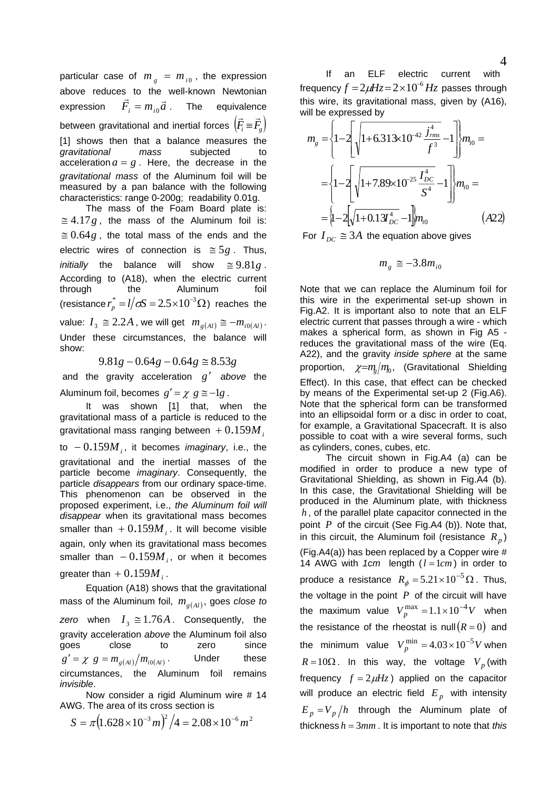particular case of  $m<sub>e</sub> = m<sub>i0</sub>$ , the expression above reduces to the well-known Newtonian expression  $\vec{F}_i = m_{i0}\vec{a}$ . The equivalence between gravitational and inertial forces  $\left| {{\textit{F}_i} \! = \! {\textit{F}_g}} \right\rangle$  $\vec{F}$ ;  $\equiv \vec{F}$ [1] shows then that a balance measures the *gravitational mass* subjected to acceleration  $a = g$ . Here, the decrease in the *gravitational mass* of the Aluminum foil will be measured by a pan balance with the following characteristics: range 0-200g; readability 0.01g.

 The mass of the Foam Board plate is:  $\approx$  4.17g, the mass of the Aluminum foil is:  $\approx 0.64g$ , the total mass of the ends and the electric wires of connection is  $\approx 5g$ . Thus, *initially* the balance will show . According to (A18), when the electric current through the Aluminum foil (resistance  $r_p^* = l/\sigma S = 2.5 \times 10^{-3} \Omega$ ) reaches the  $\approx 9.81g$ . value:  $I_3 \cong 2.2A$ , we will get  $m_{g(A)} \cong -m_{i0(A)}$ . Under these circumstances, the balance will show:

 $9.81g - 0.64g - 0.64g \approx 8.53g$ 

and the gravity acceleration  $g'$  above the Aluminum foil, becomes  $g' = \chi g \equiv -1g$ .

 It was shown [1] that, when the gravitational mass of a particle is reduced to the gravitational mass ranging between  $+0.159M/$ 

to  $-0.159M$ <sub>i</sub>, it becomes *imaginary*, i.e., the gravitational and the inertial masses of the particle become *imaginary*. Consequently, the particle *disappears* from our ordinary space-time. This phenomenon can be observed in the proposed experiment, i.e., *the Aluminum foil will disappear* when its gravitational mass becomes smaller than  $+0.159M$ <sub>*i*</sub>. It will become visible again, only when its gravitational mass becomes smaller than  $-0.159M$ <sub>i</sub>, or when it becomes greater than  $+0.159M$ <sub>i</sub>.

 Equation (A18) shows that the gravitational mass of the Aluminum foil,  $m_{g(Al)}$ , goes *close to* zero when  $I_3 \cong 1.76A$ . Consequently, the gravity acceleration *above* the Aluminum foil also goes close to zero since  $g' = \chi g = m_{g(Al)} / m_{i0(Al)}$  Under these circumstances, the Aluminum foil remains *invisible*.

 Now consider a rigid Aluminum wire # 14 AWG. The area of its cross section is

$$
S = \pi \left( 1.628 \times 10^{-3} m \right)^2 / 4 = 2.08 \times 10^{-6} m^2
$$

 If an ELF electric current with frequency  $f = 2\mu Hz = 2 \times 10^{-6} Hz$  passes through this wire, its gravitational mass, given by (A16), will be expressed by

$$
m_{g} = \left\{1-2\left[\sqrt{1+6.313\times10^{-42} \frac{j_{rms}^{4}}{f^{3}}}-1\right] \right\} m_{i0} =
$$

$$
= \left\{1-2\left[\sqrt{1+7.89\times10^{-25} \frac{I_{DC}^{4}}{S^{4}}}-1\right] \right\} m_{i0} =
$$

$$
= \left\{1-2\left[\sqrt{1+0.13I_{DC}^{4}}-1\right] m_{i0} \qquad (A22)
$$

For  $I_{DC} \cong 3A$  the equation above gives

$$
m_{g} \cong -3.8 m_{i0}
$$

Note that we can replace the Aluminum foil for this wire in the experimental set-up shown in Fig.A2. It is important also to note that an ELF electric current that passes through a wire - which makes a spherical form, as shown in Fig A5 reduces the gravitational mass of the wire (Eq. A22), and the gravity *inside sphere* at the same proportion,  $\chi = m_e/m_0$ , (Gravitational Shielding Effect). In this case, that effect can be checked by means of the Experimental set-up 2 (Fig.A6). Note that the spherical form can be transformed into an ellipsoidal form or a disc in order to coat, for example, a Gravitational Spacecraft. It is also possible to coat with a wire several forms, such as cylinders, cones, cubes, etc.

 The circuit shown in Fig.A4 (a) can be modified in order to produce a new type of Gravitational Shielding, as shown in Fig.A4 (b). In this case, the Gravitational Shielding will be produced in the Aluminum plate, with thickness , of the parallel plate capacitor connected in the *h* point *P* of the circuit (See Fig.A4 (b)). Note that, in this circuit, the Aluminum foil (resistance  $R_p$ ) (Fig.A4(a)) has been replaced by a Copper wire  $#$ 14 AWG with  $1cm$  length  $(l = 1cm)$  in order to produce a resistance  $R_{\phi} = 5.21 \times 10^{-5} \Omega$ . Thus, the voltage in the point  $P$  of the circuit will have the maximum value  $V_p^{\text{max}} = 1.1 \times 10^{-4} V$  when the resistance of the rheostat is null  $(R=0)$  and the minimum value  $V_p^{\text{min}} = 4.03 \times 10^{-5} V$  when  $R = 10\Omega$ . In this way, the voltage  $V_p$  (with frequency  $f = 2\mu Hz$ ) applied on the capacitor will produce an electric field  $E_p$  with intensity  $E_p = V_p/h$  through the Aluminum plate of thickness  $h = 3mm$ . It is important to note that *this*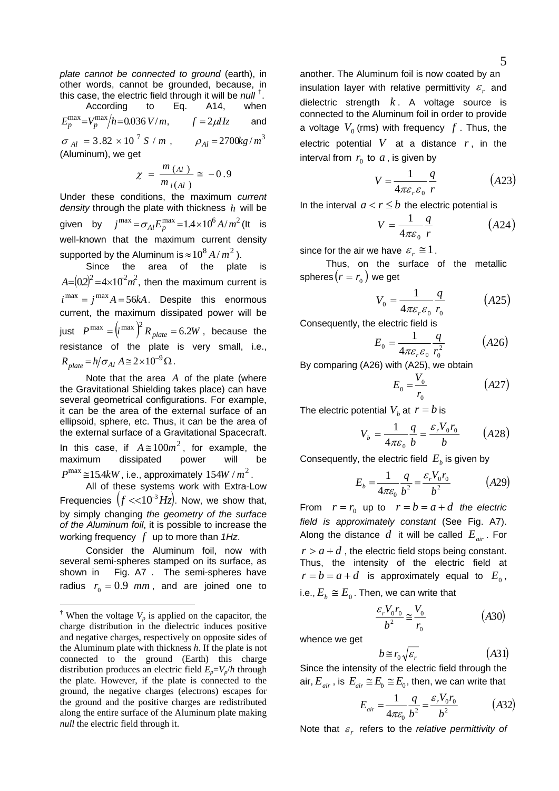*plate cannot be connected to ground* (earth), in other words, cannot be grounded, because, in this case, the electric field through it will be *null* [†](#page-4-0) .

According to Eq. A14, when  
\n
$$
E_p^{\text{max}} = V_p^{\text{max}}/h = 0.036 \text{ V/m}, \qquad f = 2 \mu Hz
$$
 and  
\n $\sigma_{Al} = 3.82 \times 10^7 \text{ S/m}, \qquad \rho_{Al} = 2700 \text{kg/m}^3$   
\n(Aluminum), we get

$$
\chi = \frac{m_{(Al)}}{m_{i(Al)}} \approx -0.9
$$

Under these conditions, the maximum *current density* through the plate with thickness h will be given by  $j^{\text{max}} = \sigma_{AI} E_p^{\text{max}} = 1.4 \times 10^6 A/m^2$  (It is well-known that the maximum current density supported by the Aluminum is  $\approx$   $10^8$  *A* /  $m^2$  ).

Since the area of the plate  $A = (0.2)^2 = 4 \times 10^2 m^2$ , then the maximum current is  $i^{\max} = j^{\max} A = 56kA$ . Despite this enormous current, the maximum dissipated power will be just  $P^{\max} = (i^{\max})^2 R_{plate} = 6.2W$ , because the resistance of the plate is very small, i.e.,  $R_{plate} = h/\sigma_{Al} A \approx 2 \times 10^{-9} \Omega$ .

Note that the area  $A$  of the plate (where the Gravitational Shielding takes place) can have several geometrical configurations. For example, it can be the area of the external surface of an ellipsoid, sphere, etc. Thus, it can be the area of the external surface of a Gravitational Spacecraft. In this case, if  $A \approx 100m^2$ , for example, the maximum dissipated power will be  $P^{\text{max}}$  ≅15.4 $kW$ , i.e., approximately 154 $W/m^2$ . All of these systems work with Extra-Low Frequencies  $(f \ll 10^{-3} Hz)$ . Now, we show that,

by simply changing *the geometry of the surface of the Aluminum foil*, it is possible to increase the working frequency *f* up to more than *1Hz*.

 Consider the Aluminum foil, now with several semi-spheres stamped on its surface, as shown in Fig. A7 . The semi-spheres have radius  $r_0 = 0.9$  *mm*, and are joined one to

-

another. The Aluminum foil is now coated by an insulation layer with relative permittivity  $\varepsilon$  and dielectric strength  $k$ . A voltage source is connected to the Aluminum foil in order to provide a voltage  $V_0$  (rms) with frequency  $f$  . Thus, the electric potential  $V$  at a distance  $r$ , in the interval from  $r_0$  to  $a$ , is given by

$$
V = \frac{1}{4\pi\varepsilon_r \varepsilon_0} \frac{q}{r}
$$
 (A23)

In the interval  $a < r \le b$  the electric potential is

$$
V = \frac{1}{4\pi\varepsilon_0} \frac{q}{r} \tag{A24}
$$

since for the air we have  $\varepsilon_r \approx 1$ .

 Thus, on the surface of the metallic spheres  $(r = r_0)$  we get

$$
V_0 = \frac{1}{4\pi\varepsilon_r\varepsilon_0} \frac{q}{r_0} \tag{A25}
$$

Consequently, the electric field is

$$
E_0 = \frac{1}{4\pi\varepsilon_r\varepsilon_0} \frac{q}{r_0^2} \tag{A26}
$$

By comparing (A26) with (A25), we obtain

$$
E_0 = \frac{V_0}{r_0} \tag{A27}
$$

The electric potential  $V<sub>b</sub>$  at  $r = b$  is

$$
V_b = \frac{1}{4\pi\varepsilon_0} \frac{q}{b} = \frac{\varepsilon_r V_0 r_0}{b} \qquad (A28)
$$

Consequently, the electric field  $E<sub>b</sub>$  is given by

$$
E_b = \frac{1}{4\pi\varepsilon_0} \frac{q}{b^2} = \frac{\varepsilon_r V_0 r_0}{b^2}
$$
 (A29)

From  $r = r_0$  up to  $r = b = a + d$  the electric *field is approximately constant* (See Fig. A7). Along the distance  $d$  it will be called  $E_{air}$ . For  $r > a + d$ , the electric field stops being constant. Thus, the intensity of the electric field at  $r = b = a + d$  is approximately equal to  $E_0$ , i.e.,  $E_{\scriptscriptstyle b} \cong E_{\scriptscriptstyle 0}$  . Then, we can write that

$$
\frac{\varepsilon_r V_0 r_0}{b^2} \approx \frac{V_0}{r_0} \tag{A30}
$$

whence we get

$$
b \cong r_0 \sqrt{\varepsilon_r} \tag{A31}
$$

Since the intensity of the electric field through the air,  $E_{air}$ , is  $E_{air} \cong E_b \cong E_0$ , then, we can write that

$$
E_{air} = \frac{1}{4\pi\varepsilon_0} \frac{q}{b^2} = \frac{\varepsilon_r V_0 r_0}{b^2}
$$
 (A32)

Note that  $\varepsilon_r$  refers to the *relative permittivity of* 

<span id="page-4-0"></span><sup>&</sup>lt;sup> $\dagger$ </sup> When the voltage  $V_p$  is applied on the capacitor, the charge distribution in the dielectric induces positive and negative charges, respectively on opposite sides of the Aluminum plate with thickness *h*. If the plate is not connected to the ground (Earth) this charge distribution produces an electric field  $E_p = V_p/h$  through the plate. However, if the plate is connected to the ground, the negative charges (electrons) escapes for the ground and the positive charges are redistributed along the entire surface of the Aluminum plate making *null* the electric field through it.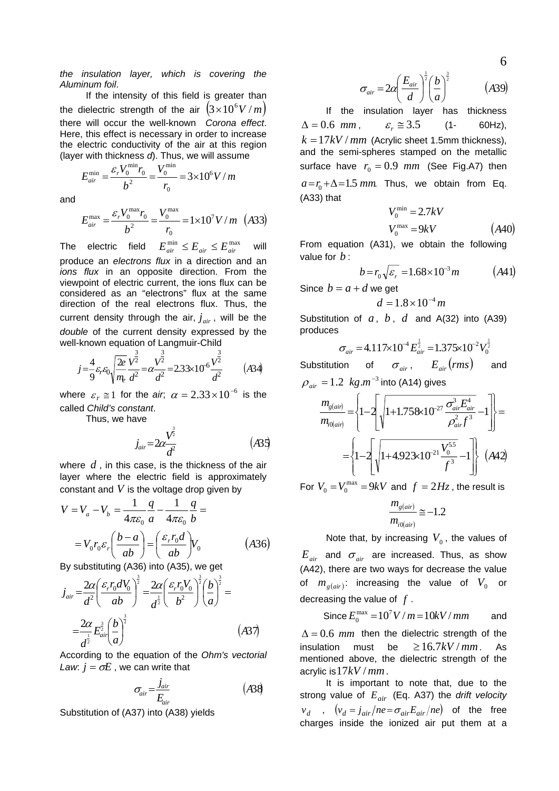*the insulation layer, which is covering the Aluminum foil*.

 If the intensity of this field is greater than the dielectric strength of the air  $(3 \times 10^6 V/m)$ there will occur the well-known *Corona effect*. Here, this effect is necessary in order to increase the electric conductivity of the air at this region (layer with thickness *d*). Thus, we will assume

*mV r V b*  $E_{air}^{\min} = \frac{\varepsilon_r V_0^{\min} r_0}{l^2} = \frac{V_0^{\min}}{l} = 3 \times 10^6 V/$  $\mathbf{0}$ min 0 2  $\mathbf{0}$ min  $\frac{\text{min}}{\text{air}} = \frac{\mathcal{E}_r V_0 - r_0}{r^2} = \frac{V_0}{r} = 3 \times$ 

and

$$
E_{air}^{\max} = \frac{\varepsilon_r V_0^{\max} r_0}{b^2} = \frac{V_0^{\max}}{r_0} = 1 \times 10^7 V/m
$$
 (A33)

The electric field  $E_{air}^{min} \le E_{air} \le E_{air}^{max}$  will produce an *electrons flux* in a direction and an *ions flux* in an opposite direction. From the viewpoint of electric current, the ions flux can be considered as an "electrons" flux at the same direction of the real electrons flux. Thus, the current density through the air,  $j_{air}$ , will be the *double* of the current density expressed by the well-known equation of Langmuir-Child

$$
j = \frac{4}{9} \varepsilon_r \varepsilon_0 \sqrt{\frac{2e}{m_e} \frac{v^{\frac{3}{2}}}{d^2}} = \alpha \frac{v^{\frac{3}{2}}}{d^2} = 2.33 \times 10^{-6} \frac{v^{\frac{3}{2}}}{d^2}
$$
 (A34)

where  $\varepsilon_r \approx 1$  for the *air*;  $\alpha = 2.33 \times 10^{-6}$  is the called *Child's constant*.

Thus, we have

$$
j_{air} = 2\alpha \frac{V^{\frac{3}{2}}}{d^2} \tag{A35}
$$

where  $d$  , in this case, is the thickness of the air layer where the electric field is approximately constant and *V* is the voltage drop given by

$$
V = V_a - V_b = \frac{1}{4\pi\varepsilon_0} \frac{q}{a} - \frac{1}{4\pi\varepsilon_0} \frac{q}{b} =
$$

$$
= V_0 r_0 \varepsilon_r \left(\frac{b-a}{ab}\right) = \left(\frac{\varepsilon_r r_0 d}{ab}\right) V_0 \tag{A36}
$$

By substituting (A36) into (A35), we get

$$
j_{air} = \frac{2\alpha}{d^2} \left(\frac{\varepsilon_r r_0 dV_0}{ab}\right)^{\frac{3}{2}} = \frac{2\alpha}{d^{\frac{1}{2}}} \left(\frac{\varepsilon_r r_0 V_0}{b^2}\right)^{\frac{3}{2}} \left(\frac{b}{a}\right)^{\frac{3}{2}} =
$$
  

$$
= \frac{2\alpha}{d^{\frac{1}{2}}} E_{air}^{\frac{3}{2}} \left(\frac{b}{a}\right)^{\frac{3}{2}} \tag{A37}
$$

According to the equation of the *Ohm's vectorial Law:*  $i = \sigma E$ , we can write that

$$
\sigma_{air} = \frac{j_{air}}{E_{air}} \tag{A38}
$$

Substitution of (A37) into (A38) yields

$$
\sigma_{air} = 2\alpha \left(\frac{E_{air}}{d}\right)^{\frac{1}{2}} \left(\frac{b}{a}\right)^{\frac{3}{2}} \tag{A39}
$$

 If the insulation layer has thickness  $\Delta = 0.6$  *mm*,  $\varepsilon_r \approx 3.5$  (1- 60Hz),  $k = 17 kV/mm$  (Acrylic sheet 1.5mm thickness), and the semi-spheres stamped on the metallic surface have  $r_0 = 0.9$   $mm$  (See Fig.A7) then  $a = r_0 + \Delta = 1.5$  *mm*. Thus, we obtain from Eq. (A33) that

$$
V_0^{\min} = 2.7kV
$$
  

$$
V_0^{\max} = 9kV
$$
 (A40)

From equation (A31), we obtain the following value for *b* :

$$
b = r_0 \sqrt{\varepsilon_r} = 1.68 \times 10^{-3} m \qquad (A41)
$$

Since  $b = a + d$  we get

$$
d = 1.8 \times 10^{-4} m
$$

Substitution of  $a, b, d$  and A(32) into (A39) produces

$$
\sigma_{air} = 4.117 \times 10^{-4} E_{air}^{\frac{1}{2}} = 1.375 \times 10^{-2} V_0^{\frac{1}{2}}
$$

Substitution of  $\sigma_{air}$ ,  $E_{air}(rms)$  and  $\rho_{\textit{air}} = 1.2 \; kg.m^{-3}$  into (A14) gives

$$
\frac{m_{g(air)}}{m_{0(air)}} = \left\{ 1 - 2 \left[ \sqrt{1 + 1.758 \times 10^{-27} \frac{\sigma_{air}^3 E_{air}^4}{\rho_{air}^2 f^3}} - 1 \right] \right\} =
$$
\n
$$
= \left\{ 1 - 2 \left[ \sqrt{1 + 4.923 \times 10^{-21} \frac{V_0^{5.5}}{f^3}} - 1 \right] \right\} (A42)
$$

For  $V_0 = V_0^{\text{max}} = 9kV$  and  $f = 2Hz$ , the result is

$$
\frac{m_{g(air)}}{m_{i0(air)}} \approx -1.2
$$

Note that, by increasing  $V_0$ , the values of  $E_{\scriptscriptstyle air}$  and  $\sigma_{\scriptscriptstyle air}$  are increased. Thus, as show (A42), there are two ways for decrease the value of  $m_{g(air)}$ : increasing the value of  $V_0$  or decreasing the value of  $f$ .

Since  $E_0^{\text{max}} = 10^7 V/m = 10kV/mm$  and

 $\Delta = 0.6$  *mm* then the dielectric strength of the insulation must be mentioned above, the dielectric strength of the acrylic is  $17kV/mm$ .  $\geq$ 16.7kV/*mm*. As

 It is important to note that, due to the strong value of  $E_{air}$  (Eq. A37) the *drift velocity*  $v_d$  ,  $(v_d = j_{air}/ne = \sigma_{air}E_{air}/ne)$  of the free charges inside the ionized air put them at a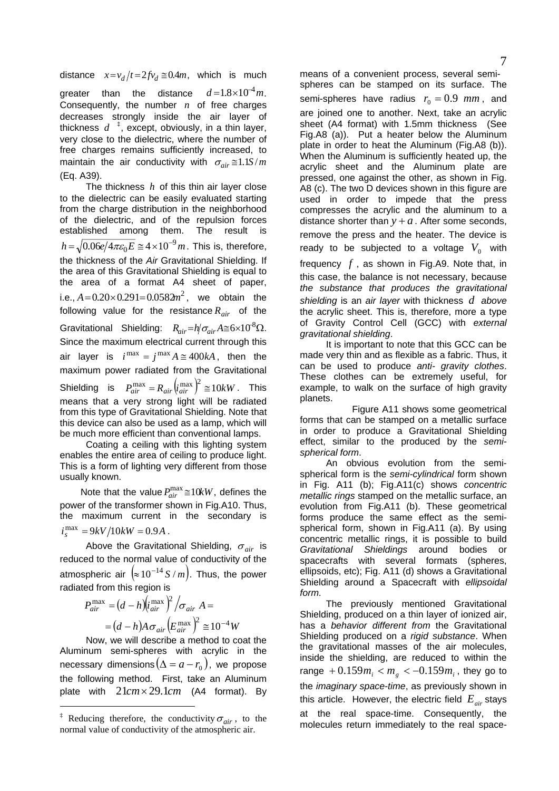distance  $x = v_d/t = 2fv_d \approx 0.4m$ , which is much

greater than the distance  $d = 1.8 \times 10^{-4} m$ . Consequently, the number  $n$  of free charges decreases strongly inside the air layer of thickness  $d^{-1}$ , except, obviously, in a thin layer, very close to the dielectric, where the number of free charges remains sufficiently increased, to maintain the air conductivity with  $\sigma_{air} \approx 1.1 S/m$ (Eq. A39).

The thickness  $h$  of this thin air layer close to the dielectric can be easily evaluated starting from the charge distribution in the neighborhood of the dielectric, and of the repulsion forces established among them. The result is  $h\!=\!\sqrt{0.06 e/4\pi\varepsilon_0 E}\cong\!4\!\times\!10^{-9}\,m$  . This is, therefore, the thickness of the *Air* Gravitational Shielding. If the area of this Gravitational Shielding is equal to the area of a format A4 sheet of paper, i.e.,  $A = 0.20 \times 0.291 = 0.0582m^2$ , we obtain the following value for the resistance  $R_{air}$  of the Gravitational Shielding:  $R_{air} = h / \sigma_{air} A \approx 6 \times 10^8 \Omega$ . Since the maximum electrical current through this air layer is  $i^{max} = j^{max} A \approx 400kA$ , then the maximum power radiated from the Gravitational Shielding is  $P_{air}^{\text{max}} = R_{air} \left( i_{air}^{\text{max}} \right)^2 \approx 10 kW$ . This means that a very strong light will be radiated from this type of Gravitational Shielding. Note that this device can also be used as a lamp, which will be much more efficient than conventional lamps.

 Coating a ceiling with this lighting system enables the entire area of ceiling to produce light. This is a form of lighting very different from those usually known.

Note that the value  $P_{air}^{max} \cong 10 kW$ , defines the power of the transformer shown in Fig.A10. Thus, the maximum current in the secondary is  $i_s^{\text{max}} = 9kV/10kW = 0.9A$ .

 Above the Gravitational Shielding, <sup>σ</sup> *air* is reduced to the normal value of conductivity of the atmospheric air  $\left( \approx 10^{-14} S/m \right)$ . Thus, the power radiated from this region is

$$
P_{air}^{\max} = (d - h)(i_{air}^{\max})^2 / \sigma_{air} A =
$$
  
=  $(d - h)A \sigma_{air} (E_{air}^{\max})^2 \approx 10^{-4} W$ 

 Now, we will describe a method to coat the Aluminum semi-spheres with acrylic in the necessary dimensions  $(\Delta = a - r_0)$ , we propose the following method. First, take an Aluminum plate with  $21cm \times 29.1cm$  (A4 format). By

 $\overline{a}$ 

means of a convenient process, several semispheres can be stamped on its surface. The semi-spheres have radius  $r_0 = 0.9$   $mm$ , and are joined one to another. Next, take an acrylic sheet (A4 format) with 1.5mm thickness (See Fig.A8 (a)). Put a heater below the Aluminum plate in order to heat the Aluminum (Fig.A8 (b)). When the Aluminum is sufficiently heated up, the acrylic sheet and the Aluminum plate are pressed, one against the other, as shown in Fig. A8 (c). The two D devices shown in this figure are used in order to impede that the press compresses the acrylic and the aluminum to a distance shorter than  $y + a$ . After some seconds, remove the press and the heater. The device is ready to be subjected to a voltage  $V_0$  with frequency  $f$ , as shown in Fig.A9. Note that, in this case, the balance is not necessary, because *the substance that produces the gravitational shielding* is an *air layer* with thickness  $d$  above the acrylic sheet. This is, therefore, more a type of Gravity Control Cell (GCC) with *external gravitational shielding*.

 It is important to note that this GCC can be made very thin and as flexible as a fabric. Thus, it can be used to produce *anti- gravity clothes*. These clothes can be extremely useful, for example, to walk on the surface of high gravity planets.

 Figure A11 shows some geometrical forms that can be stamped on a metallic surface in order to produce a Gravitational Shielding effect, similar to the produced by the *semispherical form*.

 An obvious evolution from the semispherical form is the *semi-cylindrical* form shown in Fig. A11 (b); Fig.A11(c) shows *concentric metallic rings* stamped on the metallic surface, an evolution from Fig.A11 (b). These geometrical forms produce the same effect as the semispherical form, shown in Fig.A11 (a). By using concentric metallic rings, it is possible to build *Gravitational Shieldings* around bodies or spacecrafts with several formats (spheres, ellipsoids, etc); Fig. A11 (d) shows a Gravitational Shielding around a Spacecraft with *ellipsoidal form*.

 The previously mentioned Gravitational Shielding, produced on a thin layer of ionized air, has a *behavior different from* the Gravitational Shielding produced on a *rigid substance*. When the gravitational masses of the air molecules, inside the shielding, are reduced to within the range  $+0.159m_i < m_g < -0.159m_i$ , they go to the *imaginary space-time*, as previously shown in this article. However, the electric field  $E_{air}$  stays at the real space-time. Consequently, the molecules return immediately to the real space-

<span id="page-6-0"></span><sup>&</sup>lt;sup>‡</sup> Reducing therefore, the conductivity  $\sigma_{air}$ , to the normal value of conductivity of the atmospheric air.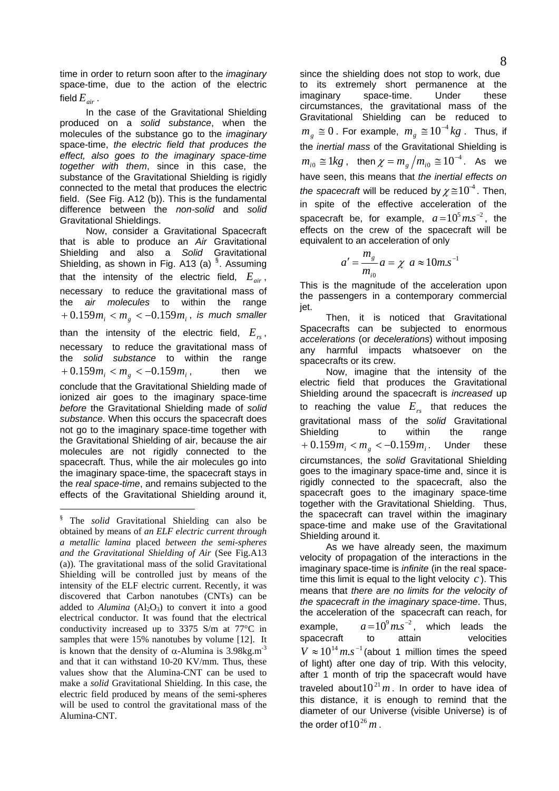time in order to return soon after to the *imaginary* space-time, due to the action of the electric field  $E_{\scriptscriptstyle air}$ .

 In the case of the Gravitational Shielding produced on a *solid substance*, when the molecules of the substance go to the *imaginary* space-time, *the electric field that produces the effect, also goes to the imaginary space-time together with them*, since in this case, the substance of the Gravitational Shielding is rigidly connected to the metal that produces the electric field. (See Fig. A12 (b)). This is the fundamental difference between the *non-solid* and *solid* Gravitational Shieldings.

 Now, consider a Gravitational Spacecraft that is able to produce an *Air* Gravitational Shielding and also a *Solid* Gravitational Shielding, as shown in Fig. A13 (a)  $§$ . Assuming that the intensity of the electric field,  $E_{air}$ , necessary to reduce the gravitational mass of the *air molecules* to within the range  $+0.159m_{i}$  <  $m_{g}$  <  $-0.159m_{i}$ , is much smaller than the intensity of the electric field,  $E_{rs}$ , necessary to reduce the gravitational mass of the *solid substance* to within the range then conclude that the Gravitational Shielding made of ionized air goes to the imaginary space-time *before* the Gravitational Shielding made of *solid substance*. When this occurs the spacecraft does not go to the imaginary space-time together with the Gravitational Shielding of air, because the air molecules are not rigidly connected to the spacecraft. Thus, while the air molecules go into the imaginary space-time, the spacecraft stays in the *real space-time*, and remains subjected to the effects of the Gravitational Shielding around it,  $+0.159m_i < m_g < -0.159m_i$ ,

-

since the shielding does not stop to work, due to its extremely short permanence at the imaginary space-time. Under these circumstances, the gravitational mass of the Gravitational Shielding can be reduced to  $m<sub>g</sub> ≈ 0$  . For example,  $m<sub>g</sub> ≈ 10<sup>-4</sup> kg$  . Thus, if the *inertial mass* of the Gravitational Shielding is  $m_{i0} \cong 1kg$ , then  $\chi = m_g / m_{i0} \cong 10^{-4}$ . As we have seen, this means that *the inertial effects on the spacecraft* will be reduced by  $\chi \approx 10^{-4}$ . Then, in spite of the effective acceleration of the spacecraft be, for example,  $a = 10^5$ m.s<sup>-2</sup>, the effects on the crew of the spacecraft will be equivalent to an acceleration of only

$$
a' = \frac{m_g}{m_{i0}} a = \chi \ a \approx 10 m.s^{-1}
$$

This is the magnitude of the acceleration upon the passengers in a contemporary commercial jet.

 Then, it is noticed that Gravitational Spacecrafts can be subjected to enormous *accelerations* (or *decelerations*) without imposing any harmful impacts whatsoever on spacecrafts or its crew.

 Now, imagine that the intensity of the electric field that produces the Gravitational Shielding around the spacecraft is *increased* up to reaching the value  $E_{rs}$  that reduces the gravitational mass of the *solid* Gravitational Shielding to within the range  $+ 0.159m_{i}$  <  $m_{g}$  <  $-0.159m_{i}$ . Under these circumstances, the *solid* Gravitational Shielding goes to the imaginary space-time and, since it is rigidly connected to the spacecraft, also the spacecraft goes to the imaginary space-time together with the Gravitational Shielding. Thus, the spacecraft can travel within the imaginary space-time and make use of the Gravitational Shielding around it.

 As we have already seen, the maximum velocity of propagation of the interactions in the imaginary space-time is *infinite* (in the real spacetime this limit is equal to the light velocity *c* ). This means that *there are no limits for the velocity of the spacecraft in the imaginary space-time*. Thus, the acceleration of the spacecraft can reach, for example,  $a=10^9$   $m.s^{-2}$ , which leads the spacecraft to attain velocities  $V \approx 10^{14}$  m.s<sup>-1</sup> (about 1 million times the speed of light) after one day of trip. With this velocity, after 1 month of trip the spacecraft would have traveled about  $10^{21}$  *m*. In order to have idea of this distance, it is enough to remind that the diameter of our Universe (visible Universe) is of the order of  $10^{26}$  m.

<span id="page-7-0"></span><sup>§</sup> The *solid* Gravitational Shielding can also be obtained by means of *an ELF electric current through a metallic lamina* placed *between the semi-spheres and the Gravitational Shielding of Air* (See Fig.A13 (a)). The gravitational mass of the solid Gravitational Shielding will be controlled just by means of the intensity of the ELF electric current. Recently, it was discovered that Carbon nanotubes (CNTs) can be added to *Alumina*  $(A_1, O_3)$  to convert it into a good electrical conductor. It was found that the electrical conductivity increased up to 3375 S/m at 77°C in samples that were 15% nanotubes by volume [12]. It is known that the density of  $\alpha$ -Alumina is 3.98kg.m<sup>-3</sup> and that it can withstand 10-20 KV/mm. Thus, these values show that the Alumina-CNT can be used to make a *solid* Gravitational Shielding. In this case, the electric field produced by means of the semi-spheres will be used to control the gravitational mass of the Alumina-CNT.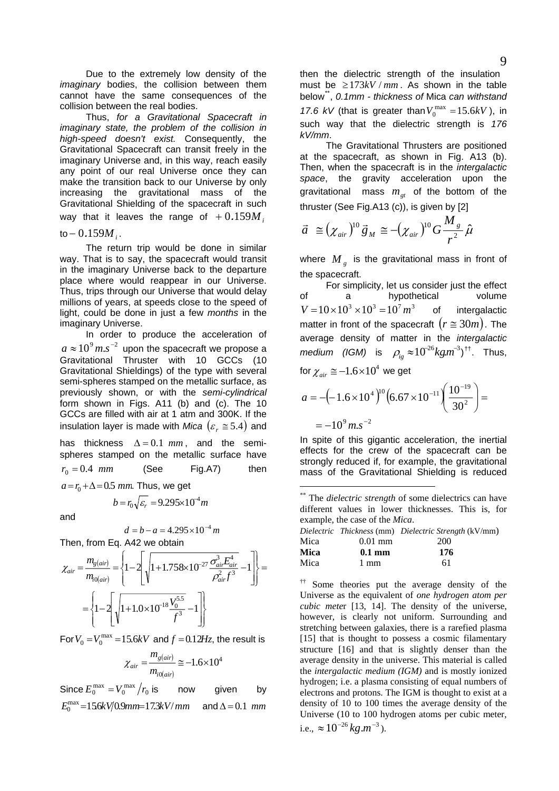Due to the extremely low density of the *imaginary* bodies, the collision between them cannot have the same consequences of the collision between the real bodies.

 Thus, *for a Gravitational Spacecraft in imaginary state, the problem of the collision in high-speed doesn't exist.* Consequently, the Gravitational Spacecraft can transit freely in the imaginary Universe and, in this way, reach easily any point of our real Universe once they can make the transition back to our Universe by only increasing the gravitational mass of the Gravitational Shielding of the spacecraft in such way that it leaves the range of  $+0.159M/_{\odot}$ 

 $\text{to} -0.159M_{i}$ .

 The return trip would be done in similar way. That is to say, the spacecraft would transit in the imaginary Universe back to the departure place where would reappear in our Universe. Thus, trips through our Universe that would delay millions of years, at speeds close to the speed of light, could be done in just a few *months* in the imaginary Universe.

 In order to produce the acceleration of  $a \approx 10^9 \,$ m.s<sup> $-2$ </sup> upon the spacecraft we propose a Gravitational Thruster with 10 GCCs (10 Gravitational Shieldings) of the type with several semi-spheres stamped on the metallic surface, as previously shown, or with the *semi-cylindrical* form shown in Figs. A11 (b) and (c). The 10 GCCs are filled with air at 1 atm and 300K. If the insulation layer is made with *Mica*  $(\varepsilon_r \cong 5.4)$  and has thickness  $\Delta = 0.1$  mm, and the semispheres stamped on the metallic surface have (See Fig.A7) then  $r_0 = 0.4$  *mm*  $a = r_0 + \Delta = 0.5$  *mm*. Thus, we get

<span id="page-8-0"></span>and

$$
d = b - a = 4.295 \times 10^{-4} m
$$

 $b = r_0 \sqrt{\varepsilon_r} = 9.295 \times 10^{-4} m$ 

Then, from Eq. A42 we obtain

<span id="page-8-1"></span>
$$
\chi_{air} = \frac{m_{g(air)}}{m_{f0(air)}} = \left\{ 1 - 2 \left[ \sqrt{1 + 1.758 \times 10^{-27} \frac{\sigma_{air}^3 E_{air}^4}{\rho_{air}^2 f^3}} - 1 \right] \right\} = \left\{ 1 - 2 \left[ \sqrt{1 + 1.0 \times 10^{-18} \frac{V_0^{5.5}}{f^3}} - 1 \right] \right\}
$$

For  $V_0 = V_0^{\text{max}} = 15.6kV$  and  $f = 0.12Hz$ , the result is

$$
\chi_{air} = \frac{m_{g(air)}}{m_{i0(air)}} \approx -1.6 \times 10^4
$$

Since  $E_0^{\max} = V_0^{\max}/r_0$  is now given by  $E_0^{\text{max}} = 156kV/0.9mm = 17.3kV/mm$  and  $\Delta = 0.1$  *mm* 

then the dielectric strength of the insulation must be  $≥173kV / mm$ . As shown in the table below<sup>[\\*\\*](#page-8-0)</sup>, *0.1mm - thickness of Mica can withstand* below<sup>2</sup>, 0.1mm - thickness of Mica can withstand 17.6  $kV$  (that is greater than  $V_0^{\text{max}} = 15.6kV$ ), in such way that the dielectric strength is *176 kV/mm*.

 The Gravitational Thrusters are positioned at the spacecraft, as shown in Fig. A13 (b). Then, when the spacecraft is in the *intergalactic space*, the gravity acceleration upon the gravitational mass  $m_{gt}$  of the bottom of the thruster (See Fig.A13 (c)), is given by [2]

$$
\vec{a} \equiv (\chi_{air})^{10} \vec{g}_M \equiv -(\chi_{air})^{10} G \frac{M_g}{r^2} \hat{\mu}
$$

where  $M_{g}$  is the gravitational mass in front of the spacecraft.

 For simplicity, let us consider just the effect of a hypothetical volume of intergalactic matter in front of the spacecraft  $(r \approx 30m)$ . The average density of matter in the *intergalactic*   $median \text{ (IGM)}$  is  $\rho_{ig} \approx 10^{-26} kg m^{-3}$ ,<sup>[††](#page-8-1)</sup>. Thus,  $V = 10 \times 10^3 \times 10^3 = 10^7 m^3$ 

for 
$$
\chi_{air} \approx -1.6 \times 10^4
$$
 we get

1

$$
a = -(-1.6 \times 10^4)^{10} \left(6.67 \times 10^{-11} \left( \frac{10^{-19}}{30^2} \right) \right) =
$$
  
= -10<sup>9</sup> m.s<sup>-2</sup>

In spite of this gigantic acceleration, the inertial effects for the crew of the spacecraft can be strongly reduced if, for example, the gravitational mass of the Gravitational Shielding is reduced

<sup>\*\*</sup> The *dielectric strength* of some dielectrics can have different values in lower thicknesses. This is, for example, the case of the *Mica*.

|      |                  | Dielectric Thickness (mm) Dielectric Strength (kV/mm) |
|------|------------------|-------------------------------------------------------|
| Mica | $0.01$ mm        | 200                                                   |
| Mica | $0.1 \text{ mm}$ | 176                                                   |
| Mica | 1 mm             | 61                                                    |

†† Some theories put the average density of the Universe as the equivalent of *one hydrogen atom per cubic mete*r [13, 14]. The density of the universe, however, is clearly not uniform. Surrounding and stretching between galaxies, there is a rarefied plasma [15] that is thought to possess a cosmic filamentary structure [16] and that is slightly denser than the average density in the universe. This material is called the *intergalactic medium (IGM)* and is mostly ionized hydrogen; i.e. a plasma consisting of equal numbers of electrons and protons. The IGM is thought to exist at a density of 10 to 100 times the average density of the Universe (10 to 100 hydrogen atoms per cubic meter, i.e.,  $\approx 10^{-26}$  kg  $m^{-3}$ ).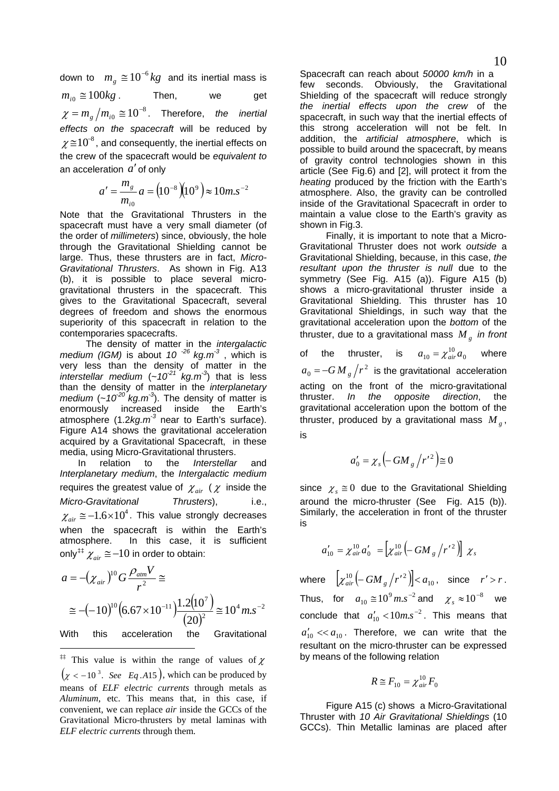down to  $m_g \approx 10^{-6} kg$  and its inertial mass is Then, we get  $m_{i0} \approx 100kg$ .  $\chi = m_g / m_{i0} \approx 10^{-8}$ . Therefore, *the inertial effects on the spacecraft* will be reduced by  $\chi \!\cong\! 10^8$ , and consequently, the inertial effects on the crew of the spacecraft would be *equivalent to*  an acceleration  $a'$  of only

$$
a' = \frac{m_g}{m_{i0}} a = (10^{-8})(10^9) \approx 10 m.s^{-2}
$$

Note that the Gravitational Thrusters in the spacecraft must have a very small diameter (of the order of *millimeters*) since, obviously, the hole through the Gravitational Shielding cannot be large. Thus, these thrusters are in fact, *Micro-Gravitational Thrusters*. As shown in Fig. A13 (b), it is possible to place several microgravitational thrusters in the spacecraft. This gives to the Gravitational Spacecraft, several degrees of freedom and shows the enormous superiority of this spacecraft in relation to the contemporaries spacecrafts.

 The density of matter in the *intergalactic medium (IGM)* is about *10 -26 kg.m-3* , which is very less than the density of matter in the *interstellar medium*  $(-10^{21} \text{ kg.m}^3)$  that is less than the density of matter in the *interplanetary medium* (~ $10^{20}$  kg.m<sup>-3</sup>). The density of matter is enormously increased inside the Earth's atmosphere (1.2*kg.m-3* near to Earth's surface). Figure A14 shows the gravitational acceleration acquired by a Gravitational Spacecraft, in these media, using Micro-Gravitational thrusters.

 In relation to the *Interstellar* and *Interplanetary medium*, the *Intergalactic medium* requires the greatest value of  $\chi_{\text{air}}$  ( $\chi$  inside the *Micro-Gravitational Thrusters*), i.e.,  $\chi_{\textit{air}} \approx -1.6 \times 10^4$ . This value strongly decreases when the spacecraft is within the Earth's atmosphere. In this case, it is sufficient only<sup>#‡</sup>  $\chi_{\scriptscriptstyle air} \cong -10$  in order to obtain:

$$
a = -(\chi_{air})^{10} G \frac{\rho_{arm} V}{r^2} \cong
$$
  
\n
$$
\cong -(-10)^{10} \left(6.67 \times 10^{-11}\right) \frac{1.2(10^7)}{(20)^2} \cong 10^4 m.s^{-2}
$$
  
\nWith this acceleration the Gravitational

-

<span id="page-9-0"></span><sup>‡‡</sup> This value is within the range of values of  $\chi$  $\left( \chi \langle -10^3 \rangle \right)$  *See Eq.A15*), which can be produced by means of *ELF electric currents* through metals as *Aluminum*, etc. This means that, in this case, if convenient, we can replace *air* inside the GCCs of the Gravitational Micro-thrusters by metal laminas with *ELF electric currents* through them.

Spacecraft can reach about *50000 km/h* in a few seconds. Obviously, the Gravitational Shielding of the spacecraft will reduce strongly *the inertial effects upon the crew* of the spacecraft, in such way that the inertial effects of this strong acceleration will not be felt. In addition, the *artificial atmosphere*, which is possible to build around the spacecraft, by means of gravity control technologies shown in this article (See Fig.6) and [2], will protect it from the *heating* produced by the friction with the Earth's atmosphere. Also, the gravity can be controlled inside of the Gravitational Spacecraft in order to maintain a value close to the Earth's gravity as shown in Fig.3.

 Finally, it is important to note that a Micro-Gravitational Thruster does not work *outside* a Gravitational Shielding, because, in this case, *the resultant upon the thruster is null* due to the symmetry (See Fig. A15 (a)). Figure A15 (b) shows a micro-gravitational thruster inside a Gravitational Shielding. This thruster has 10 Gravitational Shieldings, in such way that the gravitational acceleration upon the *bottom* of the thruster, due to a gravitational mass  $M_{g}$  *in front* 

of the thruster, is  $a_{10} = \chi_{air}^{10} a_0$  where  $a_0 = -GM_{g}/r^2$  is the gravitational acceleration acting on the front of the micro-gravitational thruster. *In the opposite direction*, the gravitational acceleration upon the bottom of the thruster, produced by a gravitational mass  $M_{g}$ , is

$$
a'_0 = \chi_s \left( -GM_g / r'^2 \right) \cong 0
$$

since  $\chi_s \equiv 0$  due to the Gravitational Shielding around the micro-thruster (See Fig. A15 (b)). Similarly, the acceleration in front of the thruster is

$$
a'_{10} = \chi_{air}^{10} a'_{0} = \left[ \chi_{air}^{10} \left( -GM_{g} /r'^{2} \right) \right] \chi_{s}
$$

where  $\left[ \chi_{air}^{10} \left( -GM_{g} / r'^{2} \right) \right] < a_{10}$ , since  $r' > r$ . Thus, for  $a_{10} \approx 10^9 \text{ m.s}^{-2}$  and  $\chi_s \approx 10^{-8}$  we conclude that  $a'_{10}$  <  $10ms^{-2}$ . This means that  $a'_{10}$   $<<$   $a_{10}$ . Therefore, we can write that the resultant on the micro-thruster can be expressed by means of the following relation

$$
R \cong F_{10} = \chi^{10}_{air} F_0
$$

 Figure A15 (c) shows a Micro-Gravitational Thruster with *10 Air Gravitational Shieldings* (10 GCCs). Thin Metallic laminas are placed after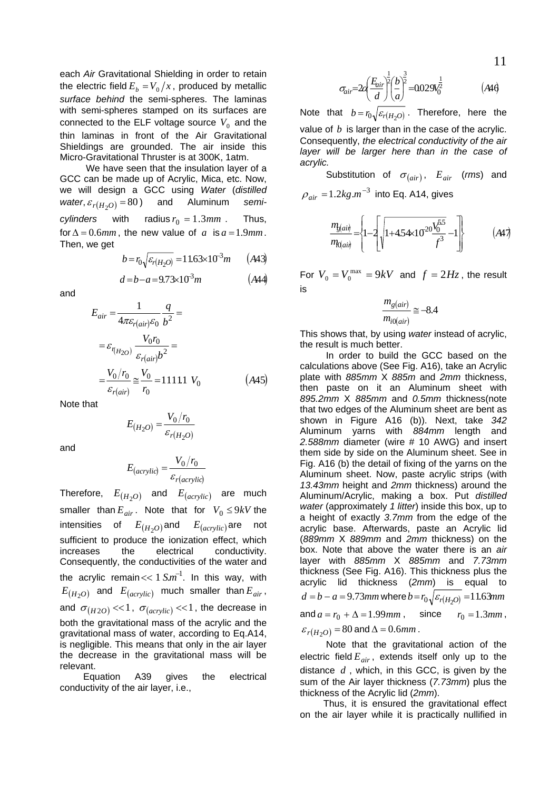each *Air* Gravitational Shielding in order to retain the electric field  $E_b = V_0/x$ , produced by metallic *surface behind* the semi-spheres. The laminas with semi-spheres stamped on its surfaces are connected to the ELF voltage source  $V_0$  and the thin laminas in front of the Air Gravitational Shieldings are grounded. The air inside this Micro-Gravitational Thruster is at 300K, 1atm.

 We have seen that the insulation layer of a GCC can be made up of Acrylic, Mica, etc. Now, we will design a GCC using *Water* (*distilled water*,  $\varepsilon_{r(H_2O)} = 80$  and Aluminum semi*cylinders* with radius  $r_0 = 1.3$  *mm*. Thus, for  $\Delta = 0.6$ *mm*, the new value of *a* is  $a = 1.9$ *mm*. Then, we get

$$
b = r_0 \sqrt{\varepsilon_{r(H_2 O)}} = 11.63 \times 10^3 m \qquad (A43)
$$

$$
d = b - a = 9.73 \times 10^3 m \tag{A44}
$$

and

$$
E_{air} = \frac{1}{4\pi\varepsilon_{r(air)}\varepsilon_0} \frac{q}{b^2} =
$$
  

$$
= \varepsilon_{r(H_{2O})} \frac{V_0 r_0}{\varepsilon_{r(air)}b^2} =
$$
  

$$
= \frac{V_0/r_0}{\varepsilon_{r(air)}} \approx \frac{V_0}{r_0} = 11111 V_0
$$
 (A45)

Note that

$$
E_{(H_2O)} = \frac{V_0/r_0}{\varepsilon_{r(H_2O)}}
$$

and

$$
E_{(acrylic)} = \frac{V_0/r_0}{\varepsilon_{r(acrylic)}}
$$

Therefore,  $E_{(H_2O)}$  and  $E_{(acrylic)}$  are much smaller than  $E_{air}$ . Note that for  $V_0 \le 9kV$  the intensities of  $E_{(H_2O)}$  and  $E_{(acrylic)}$  are not sufficient to produce the ionization effect, which increases the electrical conductivity. Consequently, the conductivities of the water and the acrylic remain  $<< 1$   $Sm^{-1}$ . In this way, with  $E_{(H_2O)}$  and  $E_{(acrylic)}$  much smaller than  $E_{air}$ , and  $\sigma_{(H2O)} \ll 1$ ,  $\sigma_{(acrylic)} \ll 1$ , the decrease in both the gravitational mass of the acrylic and the gravitational mass of water, according to Eq.A14, is negligible. This means that only in the air layer the decrease in the gravitational mass will be relevant.

 Equation A39 gives the electrical conductivity of the air layer, i.e.,

$$
\sigma_{air} = 2a \left(\frac{E_{air}}{d}\right)^{\frac{1}{2}} \left(\frac{b}{a}\right)^{\frac{3}{2}} = 0.029 V_0^{\frac{1}{2}}
$$
 (A4)

Note that  $b = r_0 \sqrt{\varepsilon_r (H_2 \rho)}$ . Therefore, here the value of *b* is larger than in the case of the acrylic. Consequently, *the electrical conductivity of the air layer will be larger here than in the case of acrylic.* 

Substitution of  $\sigma_{(air)}$ ,  $E_{air}$  (*rms*) and  $\rho_{air} = 1.2 kg.m^{-3}$  into Eq. A14, gives

$$
\frac{m_{g(ai)}}{m_{\Omega(ai)}} = \left\{ 1 - 2 \left[ \sqrt{1 + 4.54 \times 10^{-20} \frac{V_0^{5.5}}{f^3}} - 1 \right] \right\} \tag{A47}
$$

For  $V_0 = V_0^{\text{max}} = 9kV$  and  $f = 2Hz$ , the result is

$$
\frac{m_{g(air)}}{m_{i0(air)}} \cong -8.4
$$

This shows that, by using *water* instead of acrylic, the result is much better.

 In order to build the GCC based on the calculations above (See Fig. A16), take an Acrylic plate with *885mm* X *885m* and *2mm* thickness, then paste on it an Aluminum sheet with *895.2mm* X *885mm* and *0.5mm* thickness(note that two edges of the Aluminum sheet are bent as shown in Figure A16 (b)). Next, take *342* Aluminum yarns with *884mm* length and *2.588mm* diameter (wire # 10 AWG) and insert them side by side on the Aluminum sheet. See in Fig. A16 (b) the detail of fixing of the yarns on the Aluminum sheet. Now, paste acrylic strips (with *13.43mm* height and *2mm* thickness) around the Aluminum/Acrylic, making a box. Put *distilled water* (approximately *1 litter*) inside this box, up to a height of exactly *3.7mm* from the edge of the acrylic base. Afterwards, paste an Acrylic lid (*889mm* X *889mm* and *2mm* thickness) on the box. Note that above the water there is an *air* layer with *885mm* X *885mm* and *7.73mm* thickness (See Fig. A16). This thickness plus the acrylic lid thickness (*2mm*) is equal to  $d = b - a = 9.73$  *mm* where  $b = r_0 \sqrt{\varepsilon_r H_2 \rho} = 11.63$  *mm* and  $a = r_0 + \Delta = 1.99$  *mm*, since  $r_0 = 1.3$  *mm*,  $\varepsilon_{r(H_2O)} = 80$  and  $\Delta = 0.6$ *mm*.

 Note that the gravitational action of the electric field  $E_{air}$ , extends itself only up to the distance  $d$ , which, in this GCC, is given by the sum of the Air layer thickness (*7.73mm*) plus the thickness of the Acrylic lid (*2mm*).

 Thus, it is ensured the gravitational effect on the air layer while it is practically nullified in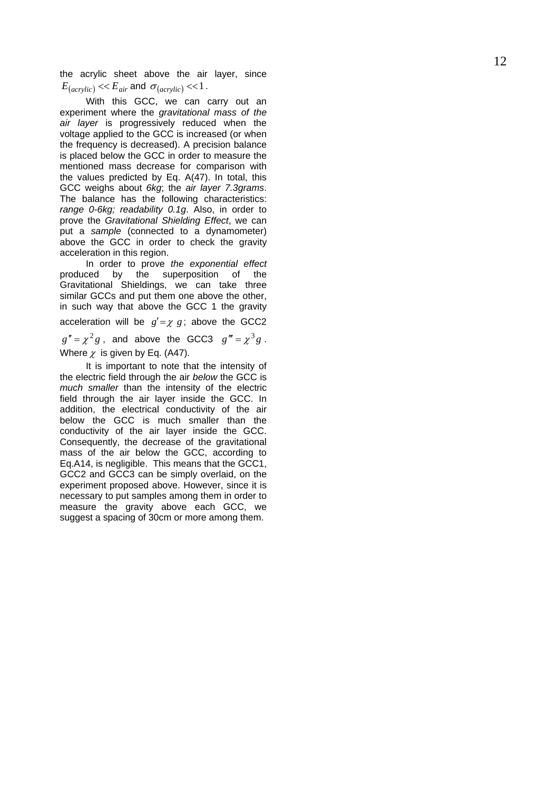the acrylic sheet above the air layer, since  $E_{(acrylic)} \ll E_{air}$  and  $\sigma_{(acrylic)} \ll 1$ .

 With this GCC, we can carry out an experiment where the *gravitational mass of the air layer* is progressively reduced when the voltage applied to the GCC is increased (or when the frequency is decreased). A precision balance is placed below the GCC in order to measure the mentioned mass decrease for comparison with the values predicted by Eq. A(47). In total, this GCC weighs about *6kg*; the *air layer 7.3grams*. The balance has the following characteristics: *range 0-6kg; readability 0.1g*. Also, in order to prove the *Gravitational Shielding Effect*, we can put a *sample* (connected to a dynamometer) above the GCC in order to check the gravity acceleration in this region.

 In order to prove *the exponential effect* produced by the superposition of the Gravitational Shieldings, we can take three similar GCCs and put them one above the other, in such way that above the GCC 1 the gravity acceleration will be  $g' = \chi g$ ; above the GCC2  $g'' = \chi^2 g$ , and above the GCC3  $g''' = \chi^3 g$ . Where  $\chi$  is given by Eq. (A47).

 It is important to note that the intensity of the electric field through the air *below* the GCC is *much smaller* than the intensity of the electric field through the air layer inside the GCC. In addition, the electrical conductivity of the air below the GCC is much smaller than the conductivity of the air layer inside the GCC. Consequently, the decrease of the gravitational mass of the air below the GCC, according to Eq.A14, is negligible. This means that the GCC1, GCC2 and GCC3 can be simply overlaid, on the experiment proposed above. However, since it is necessary to put samples among them in order to measure the gravity above each GCC, we suggest a spacing of 30cm or more among them.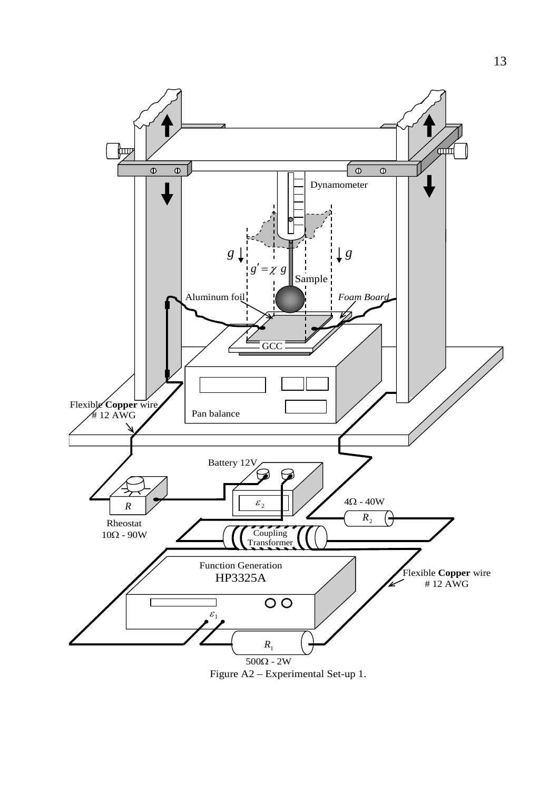

Figure A2 – Experimental Set-up 1.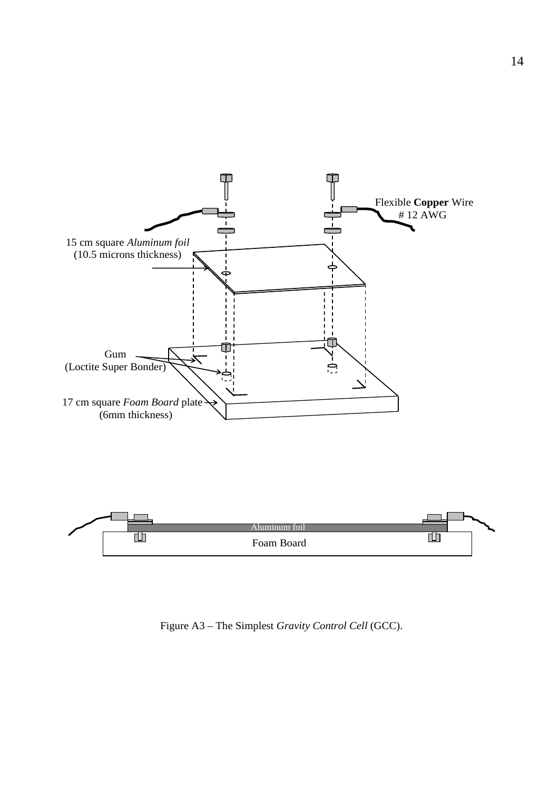

Figure A3 – The Simplest *Gravity Control Cell* (GCC).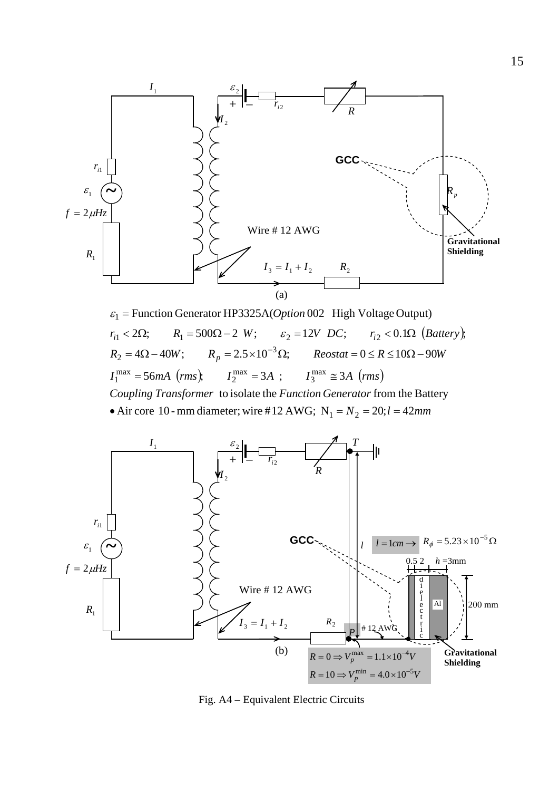

 $r_{i1} < 2\Omega;$   $R_1 = 500\Omega - 2$  *W*;  $\varepsilon_2 = 12V$  *DC*;  $r_{i2} < 0.1\Omega$  (*Battery*),  $I_1^{\max} = 56mA$  (*rms*),  $I_2^{\max} = 3A$ ;  $I_3^{\max} \approx 3A$  (*rms*) • Air core 10 - mm diameter; wire #12 AWG;  $N_1 = N_2 = 20; l = 42$ mm Coupling Transformer to isolate the Function Generator from the Battery  $R_2 = 4\Omega - 40W;$   $R_p = 2.5 \times 10^{-3} \Omega;$   $Reostat = 0 \le R \le 10\Omega - 90W$  $\varepsilon_1$  = Function Generator HP3325A(*Option* 002 High Voltage Output)  $R<sub>2</sub> = 4Ω - 40W$ ;  $R<sub>p</sub> = 2.5 × 10<sup>-3</sup>Ω$ ;  $Reostat = 0 ≤ R ≤ 10Ω - 10<sup>-3</sup>$ 



Fig. A4 – Equivalent Electric Circuits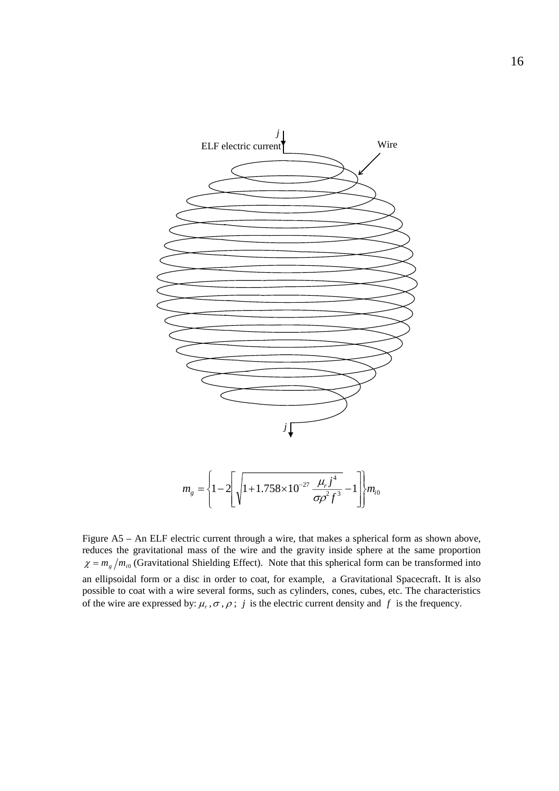

Figure A5 – An ELF electric current through a wire, that makes a spherical form as shown above, reduces the gravitational mass of the wire and the gravity inside sphere at the same proportion  $\chi = m_g/m_{i0}$  (Gravitational Shielding Effect). Note that this spherical form can be transformed into an ellipsoidal form or a disc in order to coat, for example, a Gravitational Spacecraft. It is also possible to coat with a wire several forms, such as cylinders, cones, cubes, etc. The characteristics of the wire are expressed by:  $\mu_r$ ,  $\sigma$ ,  $\rho$ ; *j* is the electric current density and *f* is the frequency.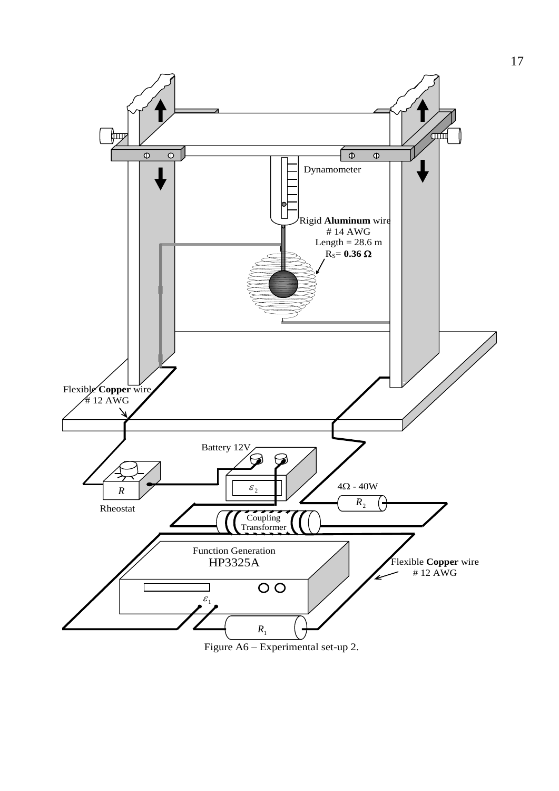

Figure A6 – Experimental set-up 2.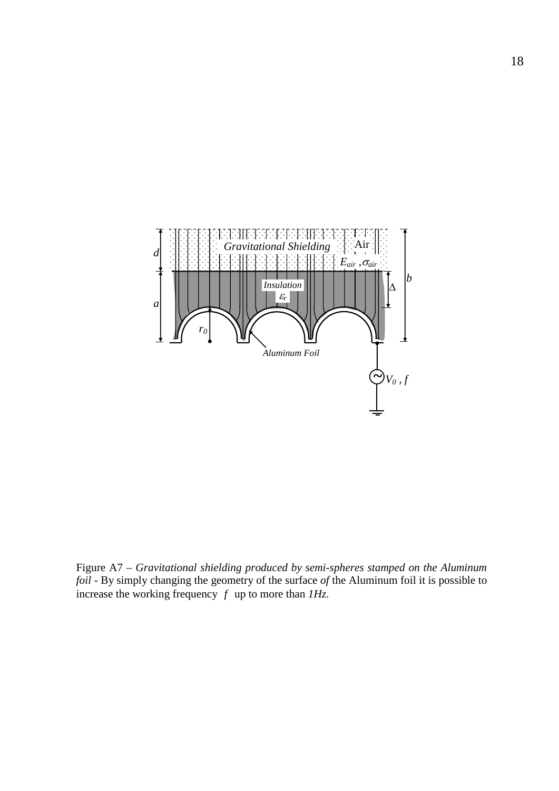

Figure A7 – *Gravitational shielding produced by semi-spheres stamped on the Aluminum foil* - By simply changing the geometry of the surface *of* the Aluminum foil it is possible to increase the working frequency  $f$  up to more than  $IHz$ .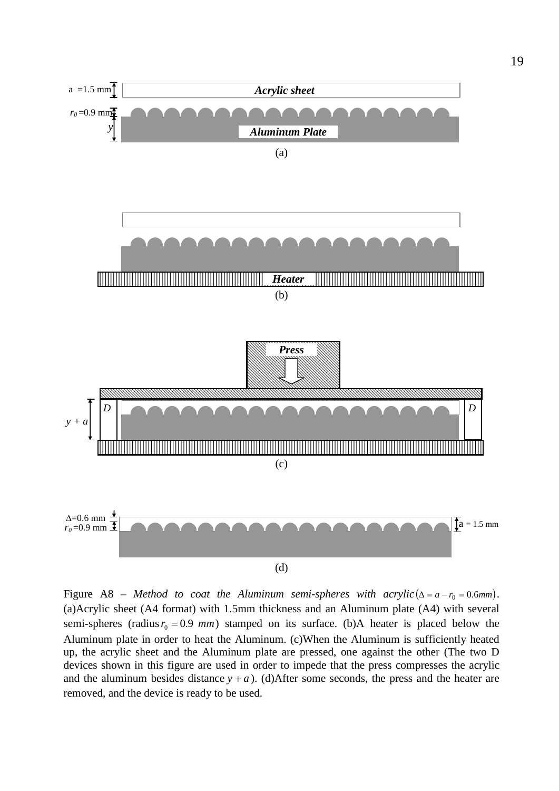

Figure A8 – *Method to coat the Aluminum semi-spheres with acrylic* ( $\Delta = a - r_0 = 0.6$ *mm*). (a)Acrylic sheet (A4 format) with 1.5mm thickness and an Aluminum plate (A4) with several semi-spheres (radius  $r_0 = 0.9$  *mm*) stamped on its surface. (b)A heater is placed below the Aluminum plate in order to heat the Aluminum. (c)When the Aluminum is sufficiently heated up, the acrylic sheet and the Aluminum plate are pressed, one against the other (The two D devices shown in this figure are used in order to impede that the press compresses the acrylic and the aluminum besides distance  $y + a$ ). (d)After some seconds, the press and the heater are removed, and the device is ready to be used.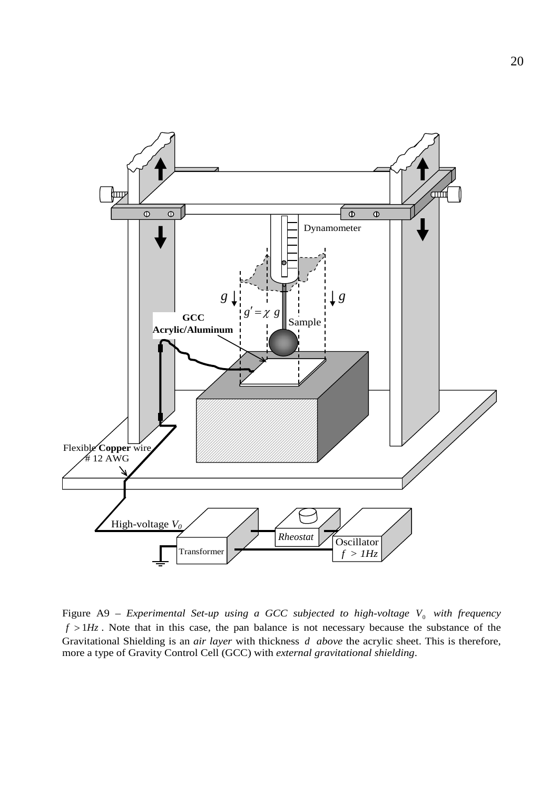

Figure A9 – *Experimental Set-up using a GCC subjected to high-voltage*  $V_0$  *with frequency*  $f > 1$ *Hz*. Note that in this case, the pan balance is not necessary because the substance of the Gravitational Shielding is an *air layer* with thickness *d above* the acrylic sheet. This is therefore, more a type of Gravity Control Cell (GCC) with *external gravitational shielding*.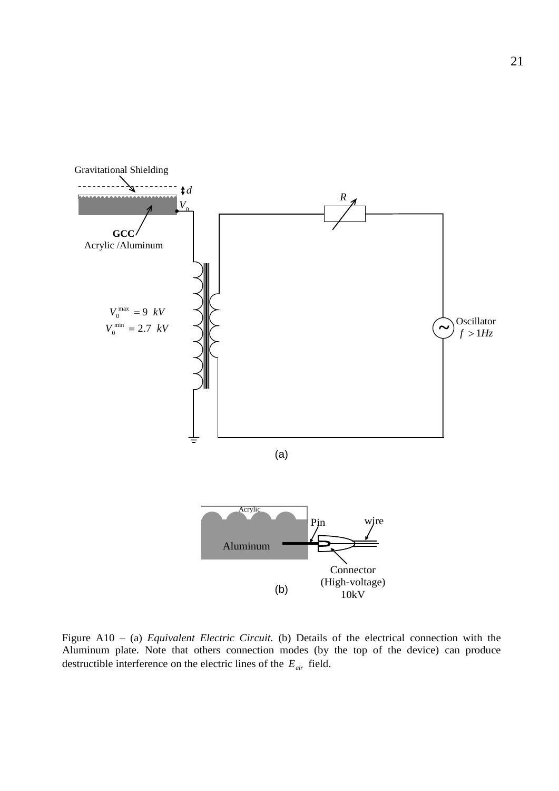

Figure A10 – (a) *Equivalent Electric Circuit.* (b) Details of the electrical connection with the Aluminum plate. Note that others connection modes (by the top of the device) can produce destructible interference on the electric lines of the *Eair* field.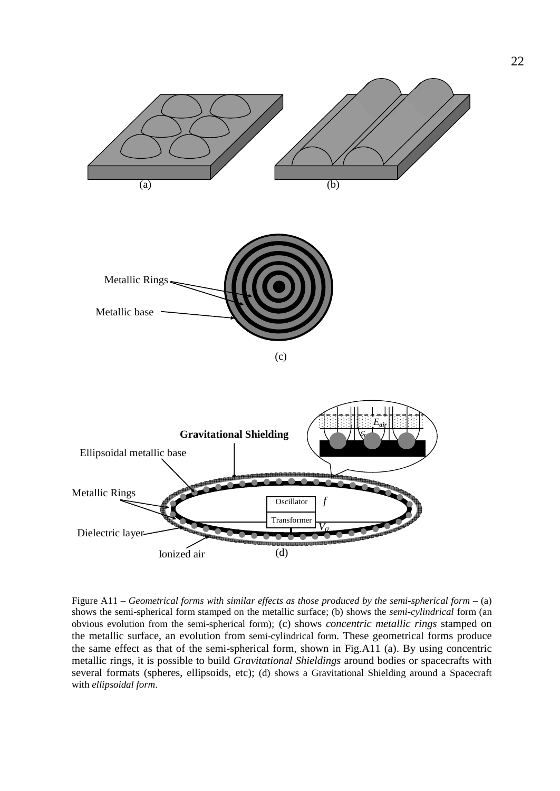

Figure A11 – *Geometrical forms with similar effects as those produced by the semi-spherical form* – (a) shows the semi-spherical form stamped on the metallic surface; (b) shows the *semi-cylindrical* form (an obvious evolution from the semi-spherical form); (c) shows *concentric metallic rings* stamped on the metallic surface, an evolution from semi-cylindrical form. These geometrical forms produce the same effect as that of the semi-spherical form, shown in Fig.A11 (a). By using concentric metallic rings, it is possible to build *Gravitational Shieldings* around bodies or spacecrafts with several formats (spheres, ellipsoids, etc); (d) shows a Gravitational Shielding around a Spacecraft with *ellipsoidal form*.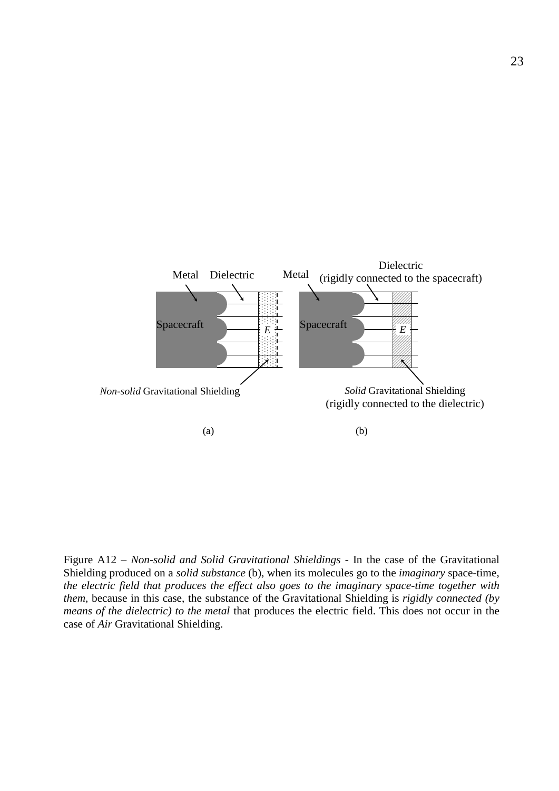

F igure A12 – *Non-solid and Solid Gravitational Shieldings* - In the case of the Gravitational Shielding produced on a *solid substance* (b), when its molecules go to the *imaginary* space-time, *the electric field that produces the effect also goes to the imaginary space-time together with them*, because in this case, the substance of the Gravitational Shielding is *rigidly connected (by means of the dielectric) to the metal* that produces the electric field. This does not occur in the case of *Air* Gravitational Shielding.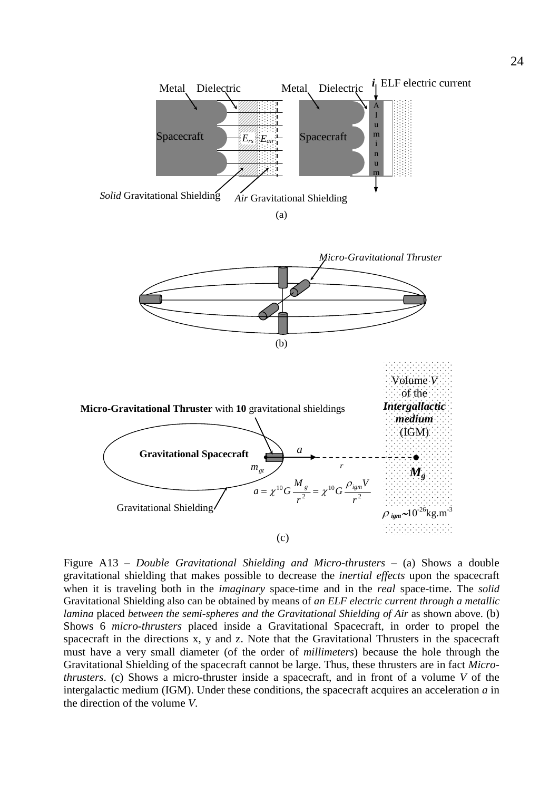

Figure A13 - *Double Gravitational Shielding and Micro-thrusters* - (a) Shows a double gravitational shielding that makes possible to decrease the *inertial effects* upon the spacecraft when it is traveling both in the *imaginary* space-time and in the *real* space-time. The *solid* Gravitational Shielding also can be obtained by means of *an ELF electric current through a metallic lamina* placed *between the semi-spheres and the Gravitational Shielding of Air* as shown above. (b) Shows 6 *micro-thrusters* placed inside a Gravitational Spacecraft, in order to propel the spacecraft in the directions x, y and z. Note that the Gravitational Thrusters in the spacecraft must have a very small diameter (of the order of *millimeters*) because the hole through the Gravitational Shielding of the spacecraft cannot be large. Thus, these thrusters are in fact *Microthrusters*. (c) Shows a micro-thruster inside a spacecraft, and in front of a volume *V* of the intergalactic medium (IGM). Under these conditions, the spacecraft acquires an acceleration *a* in the direction of the volume *V*.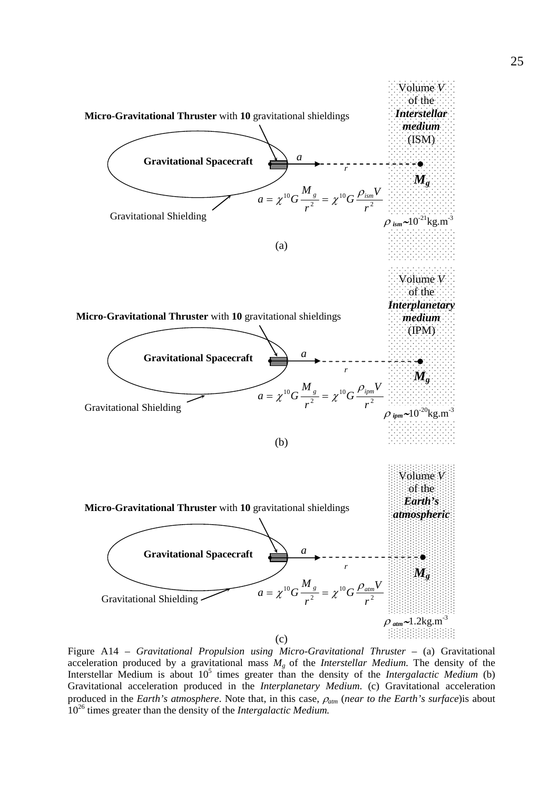

Figure A14 – *Gravitational Propulsion using Micro-Gravitational Thruster* – (a) Gravitational acceleration produced by a gravitational mass *Mg* of the *Interstellar Medium*. The density of the Interstellar Medium is about 10<sup>5</sup> times greater than the density of the *Intergalactic Medium* (b) Gravitational acceleration produced in the *Interplanetary Medium*. (c) Gravitational acceleration produced in the *Earth's atmosphere*. Note that, in this case, <sup>ρ</sup>*atm* (*near to the Earth's surface*)is about 1026 times greater than the density of the *Intergalactic Medium.*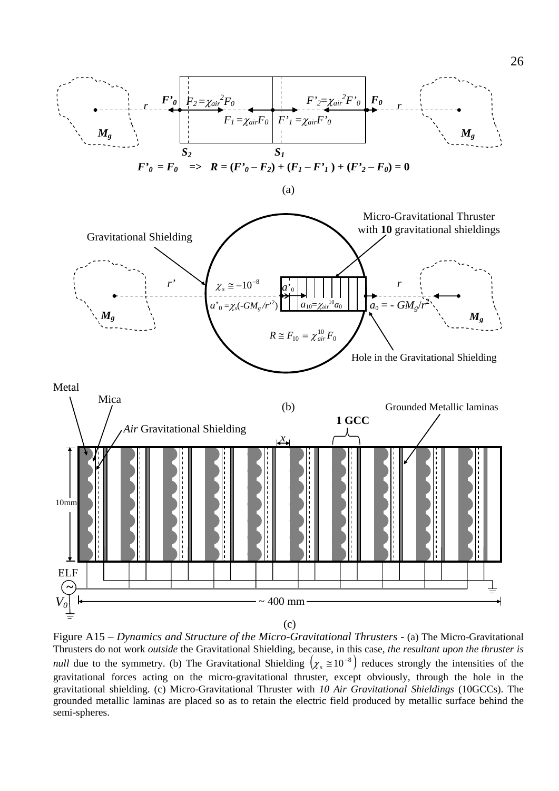

(c)

Figure A15 – *Dynamics and Structure of the Micro-Gravitational Thrusters* - (a) The Micro-Gravitational Thrusters do not work *outside* the Gravitational Shielding, because, in this case, *the resultant upon the thruster is null* due to the symmetry. (b) The Gravitational Shielding  $(\chi_s \approx 10^{-8})$  reduces strongly the intensities of the gravitational forces acting on the micro-gravitational thruster, except obviously, through the hole in the gravitational shielding. (c) Micro-Gravitational Thruster with *10 Air Gravitational Shieldings* (10GCCs). The grounded metallic laminas are placed so as to retain the electric field produced by metallic surface behind the semi-spheres.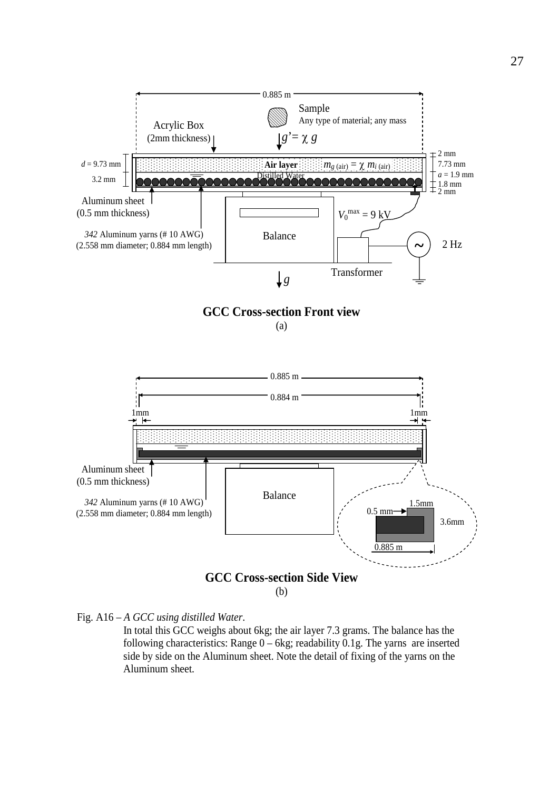

Fig. A16 – *A GCC using distilled Water*.

 In total this GCC weighs about 6kg; the air layer 7.3 grams. The balance has the following characteristics: Range  $0 - 6$ kg; readability 0.1g. The yarns are inserted side by side on the Aluminum sheet. Note the detail of fixing of the yarns on the Aluminum sheet.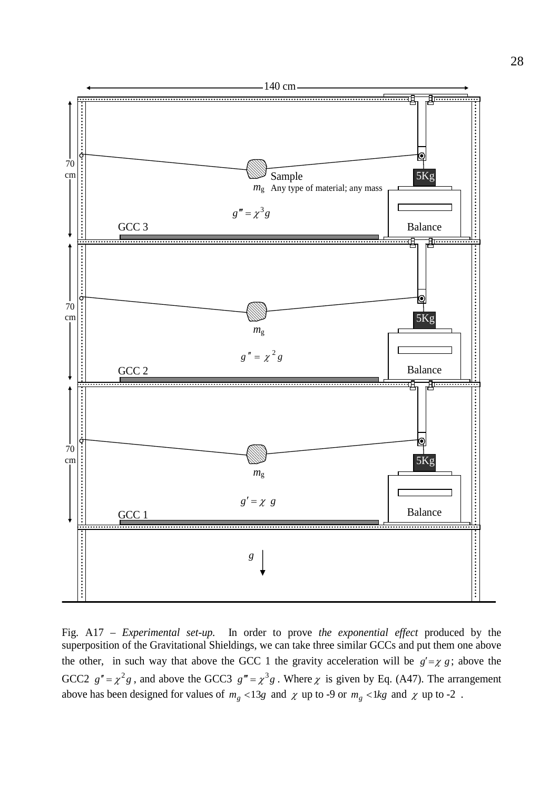

Fig. A17 – *Experimental set-up.* In order to prove *the exponential effect* produced by the superposition of the Gravitational Shieldings, we can take three similar GCCs and put them one above the other, in such way that above the GCC 1 the gravity acceleration will be  $g' = \chi g$ ; above the GCC2  $g'' = \chi^2 g$ , and above the GCC3  $g''' = \chi^3 g$ . Where  $\chi$  is given by Eq. (A47). The arrangement above has been designed for values of  $m_g$  <13*g* and  $\chi$  up to -9 or  $m_g$  <1*kg* and  $\chi$  up to -2.